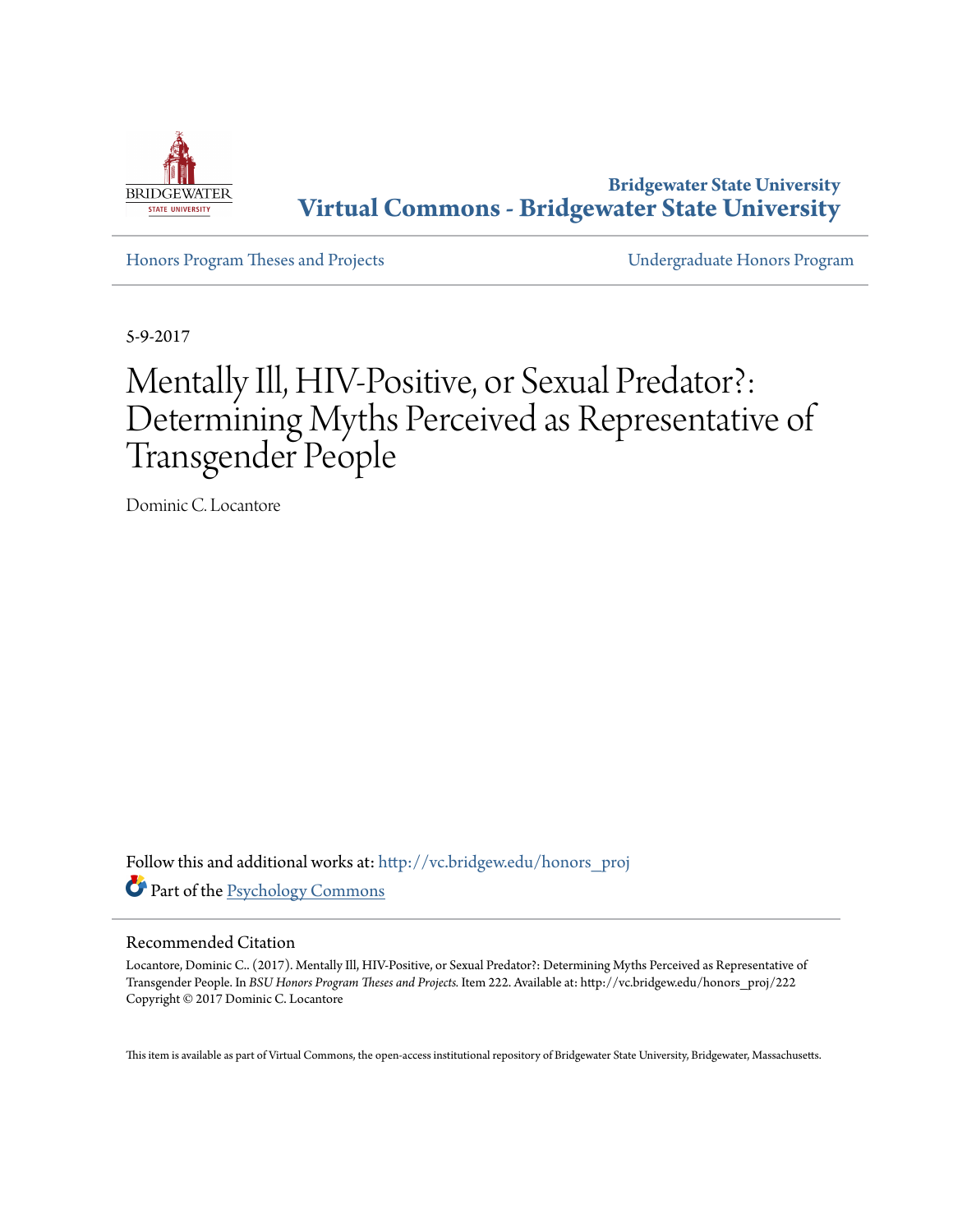

**Bridgewater State University [Virtual Commons - Bridgewater State University](http://vc.bridgew.edu?utm_source=vc.bridgew.edu%2Fhonors_proj%2F222&utm_medium=PDF&utm_campaign=PDFCoverPages)**

[Honors Program Theses and Projects](http://vc.bridgew.edu/honors_proj?utm_source=vc.bridgew.edu%2Fhonors_proj%2F222&utm_medium=PDF&utm_campaign=PDFCoverPages) [Undergraduate Honors Program](http://vc.bridgew.edu/honors?utm_source=vc.bridgew.edu%2Fhonors_proj%2F222&utm_medium=PDF&utm_campaign=PDFCoverPages)

5-9-2017

# Mentally Ill, HIV-Positive, or Sexual Predator?: Determining Myths Perceived as Representative of Transgender People

Dominic C. Locantore

Follow this and additional works at: [http://vc.bridgew.edu/honors\\_proj](http://vc.bridgew.edu/honors_proj?utm_source=vc.bridgew.edu%2Fhonors_proj%2F222&utm_medium=PDF&utm_campaign=PDFCoverPages) Part of the [Psychology Commons](http://network.bepress.com/hgg/discipline/404?utm_source=vc.bridgew.edu%2Fhonors_proj%2F222&utm_medium=PDF&utm_campaign=PDFCoverPages)

#### Recommended Citation

Locantore, Dominic C.. (2017). Mentally Ill, HIV-Positive, or Sexual Predator?: Determining Myths Perceived as Representative of Transgender People. In *BSU Honors Program Theses and Projects.* Item 222. Available at: http://vc.bridgew.edu/honors\_proj/222 Copyright © 2017 Dominic C. Locantore

This item is available as part of Virtual Commons, the open-access institutional repository of Bridgewater State University, Bridgewater, Massachusetts.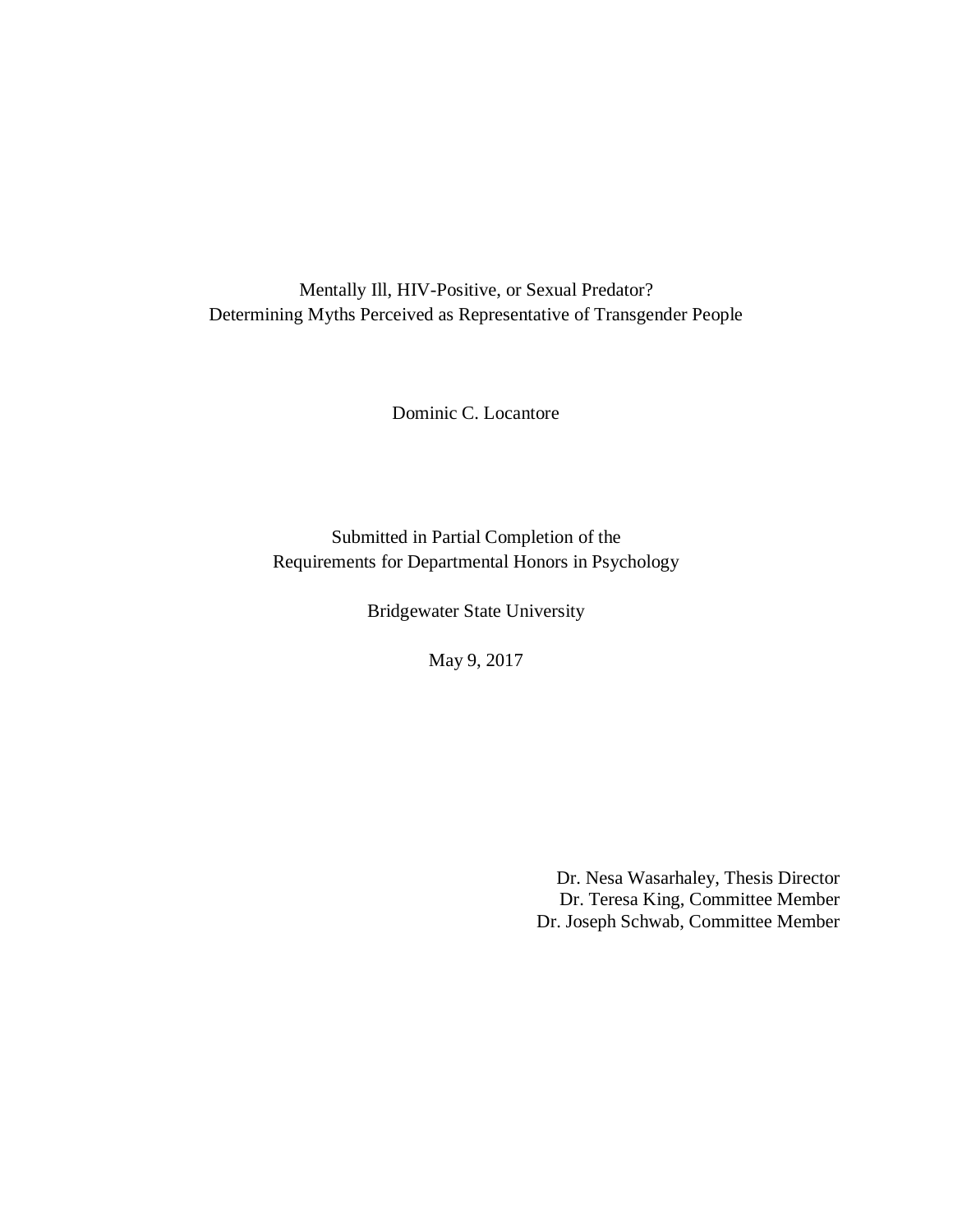Mentally Ill, HIV-Positive, or Sexual Predator? Determining Myths Perceived as Representative of Transgender People

Dominic C. Locantore

Submitted in Partial Completion of the Requirements for Departmental Honors in Psychology

Bridgewater State University

May 9, 2017

Dr. Nesa Wasarhaley, Thesis Director Dr. Teresa King, Committee Member Dr. Joseph Schwab, Committee Member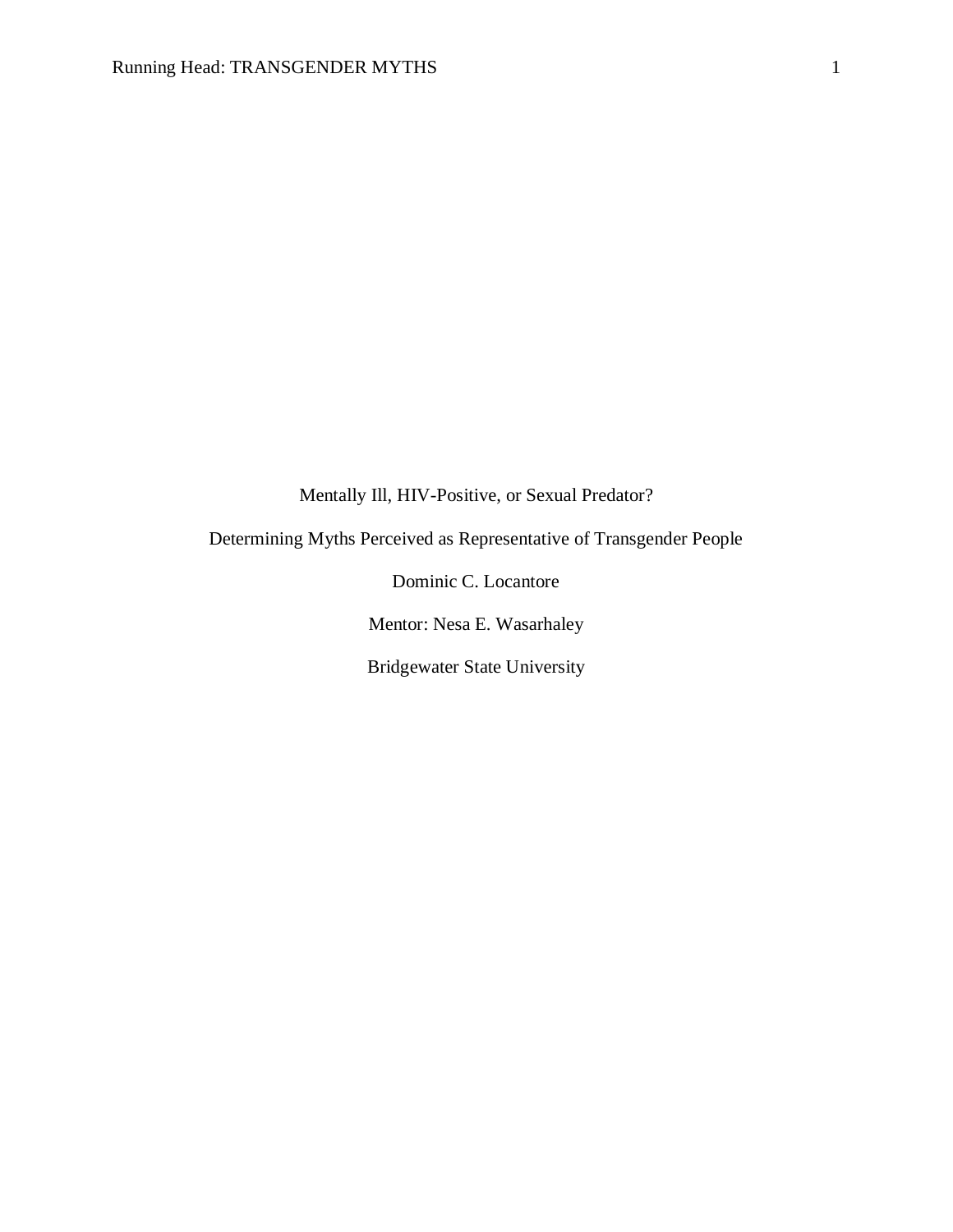Mentally Ill, HIV-Positive, or Sexual Predator?

Determining Myths Perceived as Representative of Transgender People

Dominic C. Locantore Mentor: Nesa E. Wasarhaley

Bridgewater State University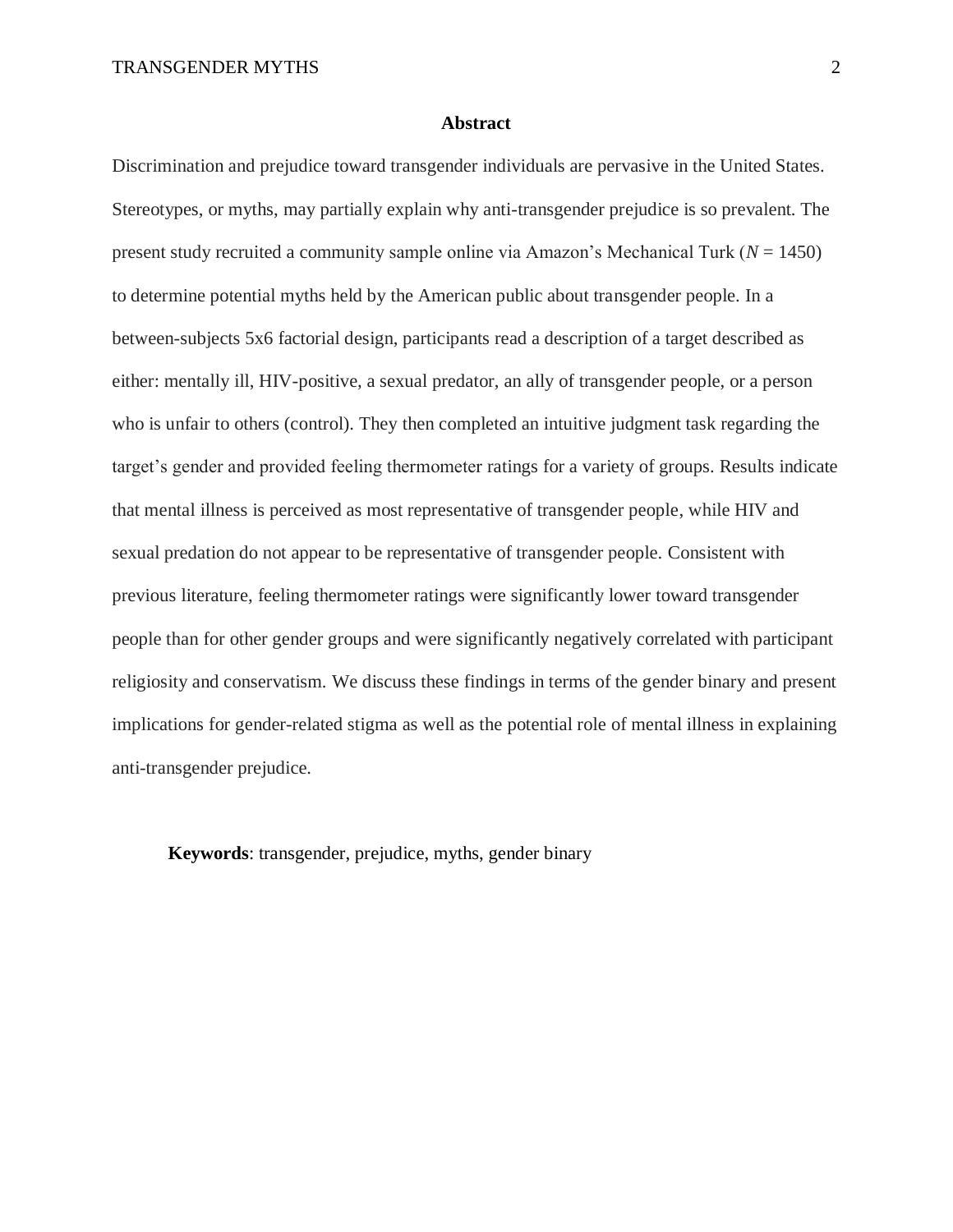#### **Abstract**

Discrimination and prejudice toward transgender individuals are pervasive in the United States. Stereotypes, or myths, may partially explain why anti-transgender prejudice is so prevalent. The present study recruited a community sample online via Amazon's Mechanical Turk (*N* = 1450) to determine potential myths held by the American public about transgender people. In a between-subjects 5x6 factorial design, participants read a description of a target described as either: mentally ill, HIV-positive, a sexual predator, an ally of transgender people, or a person who is unfair to others (control). They then completed an intuitive judgment task regarding the target's gender and provided feeling thermometer ratings for a variety of groups. Results indicate that mental illness is perceived as most representative of transgender people, while HIV and sexual predation do not appear to be representative of transgender people. Consistent with previous literature, feeling thermometer ratings were significantly lower toward transgender people than for other gender groups and were significantly negatively correlated with participant religiosity and conservatism. We discuss these findings in terms of the gender binary and present implications for gender-related stigma as well as the potential role of mental illness in explaining anti-transgender prejudice.

**Keywords**: transgender, prejudice, myths, gender binary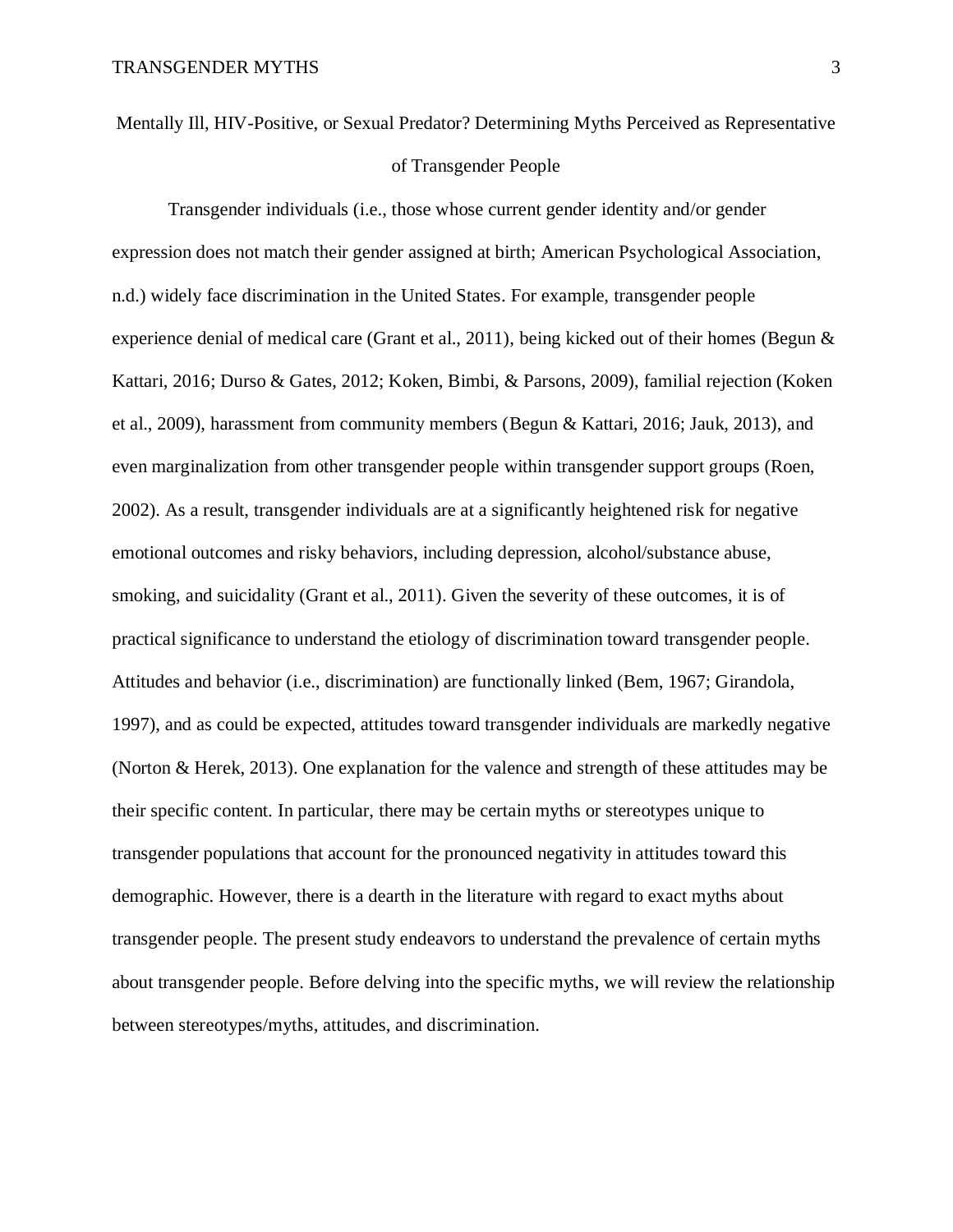# Mentally Ill, HIV-Positive, or Sexual Predator? Determining Myths Perceived as Representative of Transgender People

Transgender individuals (i.e., those whose current gender identity and/or gender expression does not match their gender assigned at birth; American Psychological Association, n.d.) widely face discrimination in the United States. For example, transgender people experience denial of medical care (Grant et al., 2011), being kicked out of their homes (Begun  $\&$ Kattari, 2016; Durso & Gates, 2012; Koken, Bimbi, & Parsons, 2009), familial rejection (Koken et al., 2009), harassment from community members (Begun & Kattari, 2016; Jauk, 2013), and even marginalization from other transgender people within transgender support groups (Roen, 2002). As a result, transgender individuals are at a significantly heightened risk for negative emotional outcomes and risky behaviors, including depression, alcohol/substance abuse, smoking, and suicidality (Grant et al., 2011). Given the severity of these outcomes, it is of practical significance to understand the etiology of discrimination toward transgender people. Attitudes and behavior (i.e., discrimination) are functionally linked (Bem, 1967; Girandola, 1997), and as could be expected, attitudes toward transgender individuals are markedly negative (Norton & Herek, 2013). One explanation for the valence and strength of these attitudes may be their specific content. In particular, there may be certain myths or stereotypes unique to transgender populations that account for the pronounced negativity in attitudes toward this demographic. However, there is a dearth in the literature with regard to exact myths about transgender people. The present study endeavors to understand the prevalence of certain myths about transgender people. Before delving into the specific myths, we will review the relationship between stereotypes/myths, attitudes, and discrimination.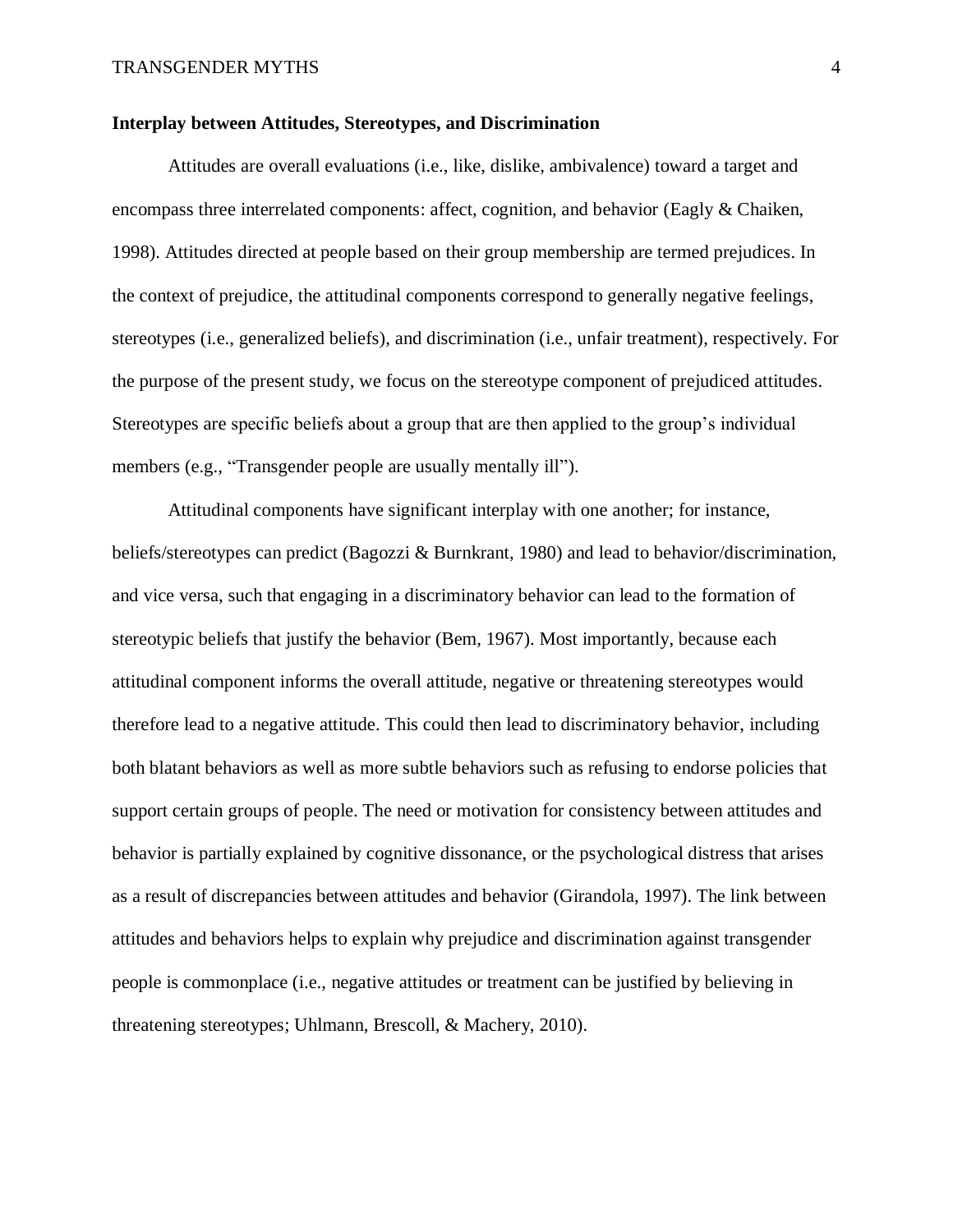#### **Interplay between Attitudes, Stereotypes, and Discrimination**

Attitudes are overall evaluations (i.e., like, dislike, ambivalence) toward a target and encompass three interrelated components: affect, cognition, and behavior (Eagly & Chaiken, 1998). Attitudes directed at people based on their group membership are termed prejudices. In the context of prejudice, the attitudinal components correspond to generally negative feelings, stereotypes (i.e., generalized beliefs), and discrimination (i.e., unfair treatment), respectively. For the purpose of the present study, we focus on the stereotype component of prejudiced attitudes. Stereotypes are specific beliefs about a group that are then applied to the group's individual members (e.g., "Transgender people are usually mentally ill").

Attitudinal components have significant interplay with one another; for instance, beliefs/stereotypes can predict (Bagozzi & Burnkrant, 1980) and lead to behavior/discrimination, and vice versa, such that engaging in a discriminatory behavior can lead to the formation of stereotypic beliefs that justify the behavior (Bem, 1967). Most importantly, because each attitudinal component informs the overall attitude, negative or threatening stereotypes would therefore lead to a negative attitude. This could then lead to discriminatory behavior, including both blatant behaviors as well as more subtle behaviors such as refusing to endorse policies that support certain groups of people. The need or motivation for consistency between attitudes and behavior is partially explained by cognitive dissonance, or the psychological distress that arises as a result of discrepancies between attitudes and behavior (Girandola, 1997). The link between attitudes and behaviors helps to explain why prejudice and discrimination against transgender people is commonplace (i.e., negative attitudes or treatment can be justified by believing in threatening stereotypes; Uhlmann, Brescoll, & Machery, 2010).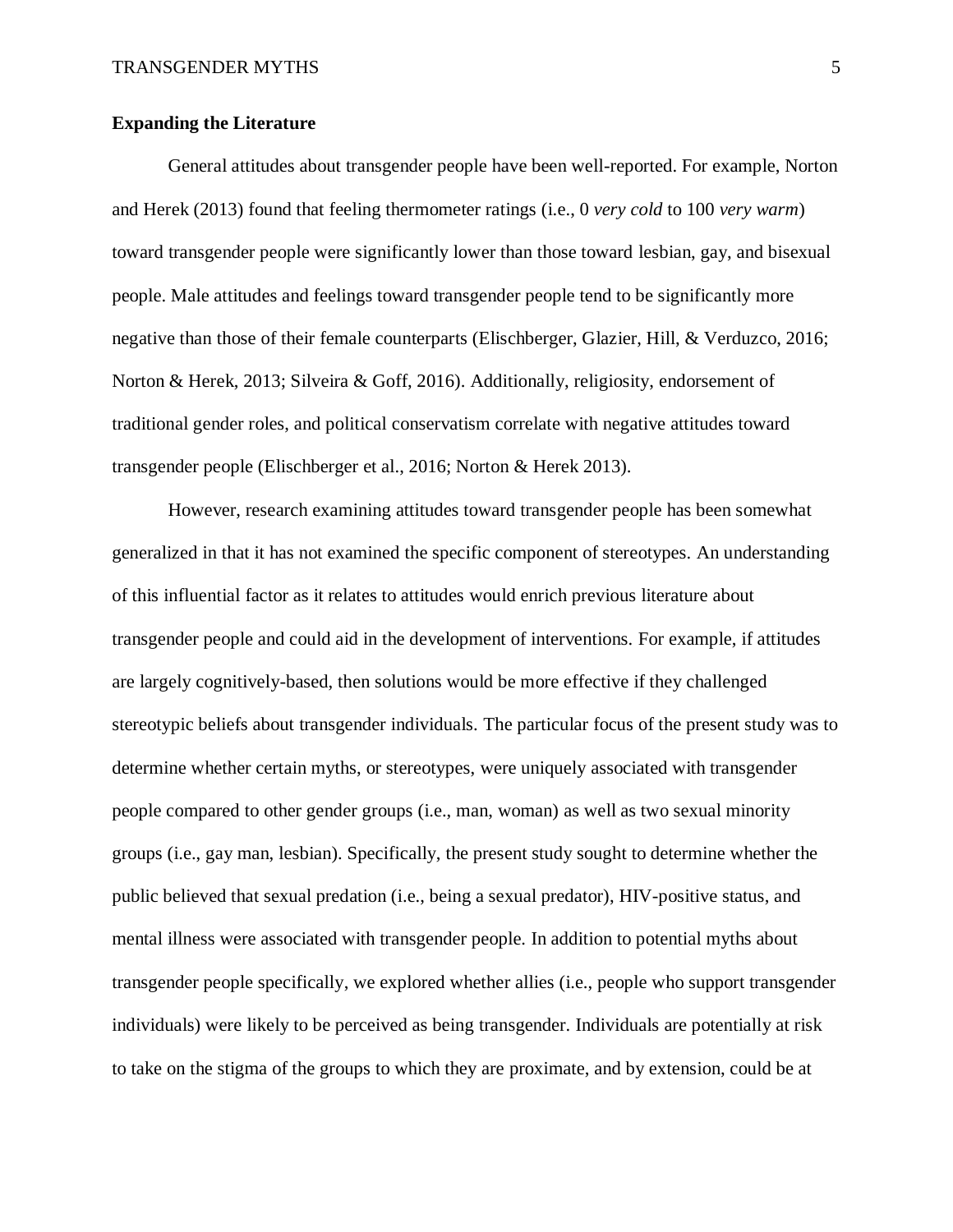#### **Expanding the Literature**

General attitudes about transgender people have been well-reported. For example, Norton and Herek (2013) found that feeling thermometer ratings (i.e., 0 *very cold* to 100 *very warm*) toward transgender people were significantly lower than those toward lesbian, gay, and bisexual people. Male attitudes and feelings toward transgender people tend to be significantly more negative than those of their female counterparts (Elischberger, Glazier, Hill, & Verduzco, 2016; Norton & Herek, 2013; Silveira & Goff, 2016). Additionally, religiosity, endorsement of traditional gender roles, and political conservatism correlate with negative attitudes toward transgender people (Elischberger et al., 2016; Norton & Herek 2013).

However, research examining attitudes toward transgender people has been somewhat generalized in that it has not examined the specific component of stereotypes. An understanding of this influential factor as it relates to attitudes would enrich previous literature about transgender people and could aid in the development of interventions. For example, if attitudes are largely cognitively-based, then solutions would be more effective if they challenged stereotypic beliefs about transgender individuals. The particular focus of the present study was to determine whether certain myths, or stereotypes, were uniquely associated with transgender people compared to other gender groups (i.e., man, woman) as well as two sexual minority groups (i.e., gay man, lesbian). Specifically, the present study sought to determine whether the public believed that sexual predation (i.e., being a sexual predator), HIV-positive status, and mental illness were associated with transgender people. In addition to potential myths about transgender people specifically, we explored whether allies (i.e., people who support transgender individuals) were likely to be perceived as being transgender. Individuals are potentially at risk to take on the stigma of the groups to which they are proximate, and by extension, could be at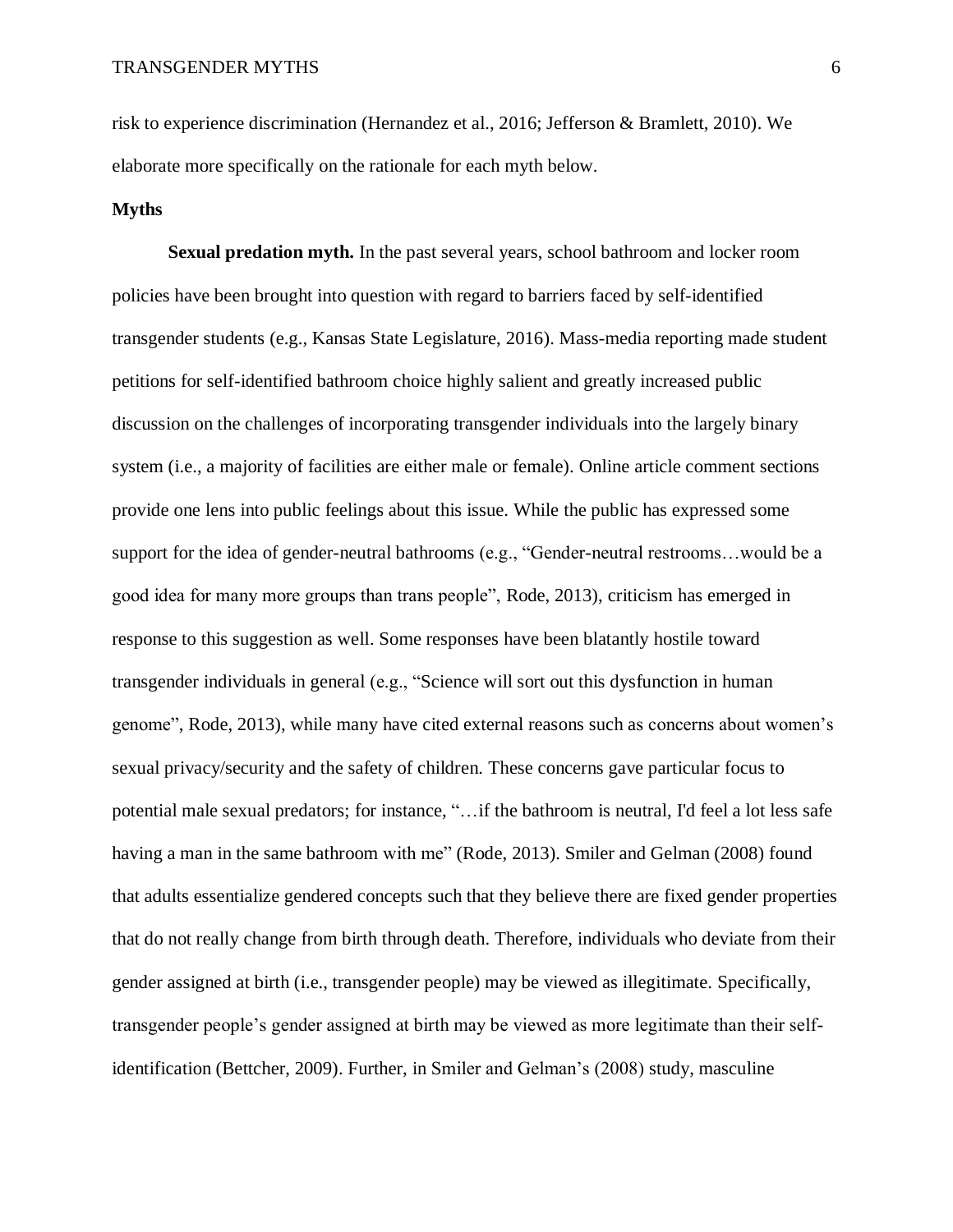risk to experience discrimination (Hernandez et al., 2016; Jefferson & Bramlett, 2010). We elaborate more specifically on the rationale for each myth below.

#### **Myths**

**Sexual predation myth.** In the past several years, school bathroom and locker room policies have been brought into question with regard to barriers faced by self-identified transgender students (e.g., Kansas State Legislature, 2016). Mass-media reporting made student petitions for self-identified bathroom choice highly salient and greatly increased public discussion on the challenges of incorporating transgender individuals into the largely binary system (i.e., a majority of facilities are either male or female). Online article comment sections provide one lens into public feelings about this issue. While the public has expressed some support for the idea of gender-neutral bathrooms (e.g., "Gender-neutral restrooms…would be a good idea for many more groups than trans people", Rode, 2013), criticism has emerged in response to this suggestion as well. Some responses have been blatantly hostile toward transgender individuals in general (e.g., "Science will sort out this dysfunction in human genome", Rode, 2013), while many have cited external reasons such as concerns about women's sexual privacy/security and the safety of children. These concerns gave particular focus to potential male sexual predators; for instance, "…if the bathroom is neutral, I'd feel a lot less safe having a man in the same bathroom with me" (Rode, 2013). Smiler and Gelman (2008) found that adults essentialize gendered concepts such that they believe there are fixed gender properties that do not really change from birth through death. Therefore, individuals who deviate from their gender assigned at birth (i.e., transgender people) may be viewed as illegitimate. Specifically, transgender people's gender assigned at birth may be viewed as more legitimate than their selfidentification (Bettcher, 2009). Further, in Smiler and Gelman's (2008) study, masculine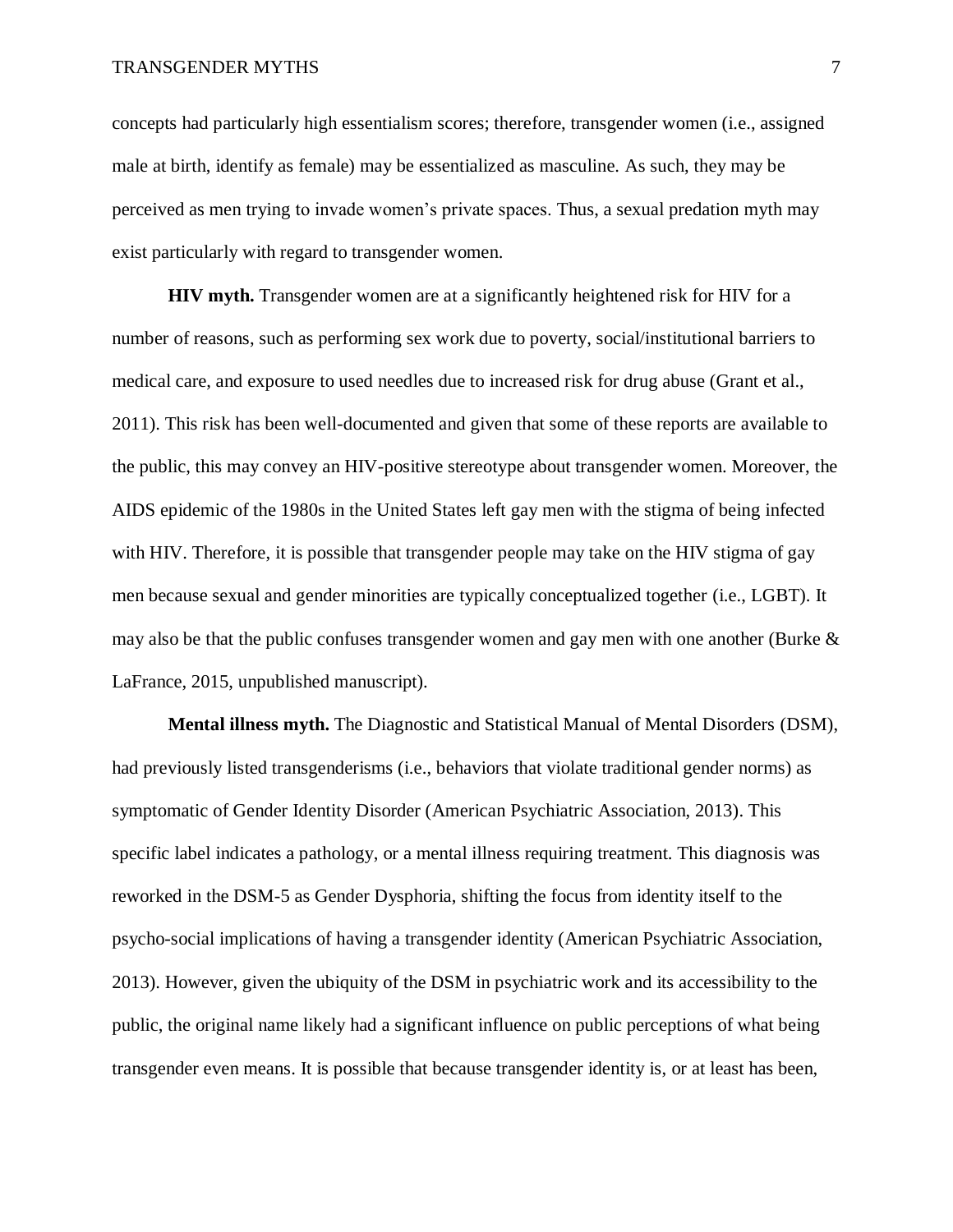concepts had particularly high essentialism scores; therefore, transgender women (i.e., assigned male at birth, identify as female) may be essentialized as masculine. As such, they may be perceived as men trying to invade women's private spaces. Thus, a sexual predation myth may exist particularly with regard to transgender women.

**HIV myth.** Transgender women are at a significantly heightened risk for HIV for a number of reasons, such as performing sex work due to poverty, social/institutional barriers to medical care, and exposure to used needles due to increased risk for drug abuse (Grant et al., 2011). This risk has been well-documented and given that some of these reports are available to the public, this may convey an HIV-positive stereotype about transgender women. Moreover, the AIDS epidemic of the 1980s in the United States left gay men with the stigma of being infected with HIV. Therefore, it is possible that transgender people may take on the HIV stigma of gay men because sexual and gender minorities are typically conceptualized together (i.e., LGBT). It may also be that the public confuses transgender women and gay men with one another (Burke  $\&$ LaFrance, 2015, unpublished manuscript).

**Mental illness myth.** The Diagnostic and Statistical Manual of Mental Disorders (DSM), had previously listed transgenderisms (i.e., behaviors that violate traditional gender norms) as symptomatic of Gender Identity Disorder (American Psychiatric Association, 2013). This specific label indicates a pathology, or a mental illness requiring treatment. This diagnosis was reworked in the DSM-5 as Gender Dysphoria, shifting the focus from identity itself to the psycho-social implications of having a transgender identity (American Psychiatric Association, 2013). However, given the ubiquity of the DSM in psychiatric work and its accessibility to the public, the original name likely had a significant influence on public perceptions of what being transgender even means. It is possible that because transgender identity is, or at least has been,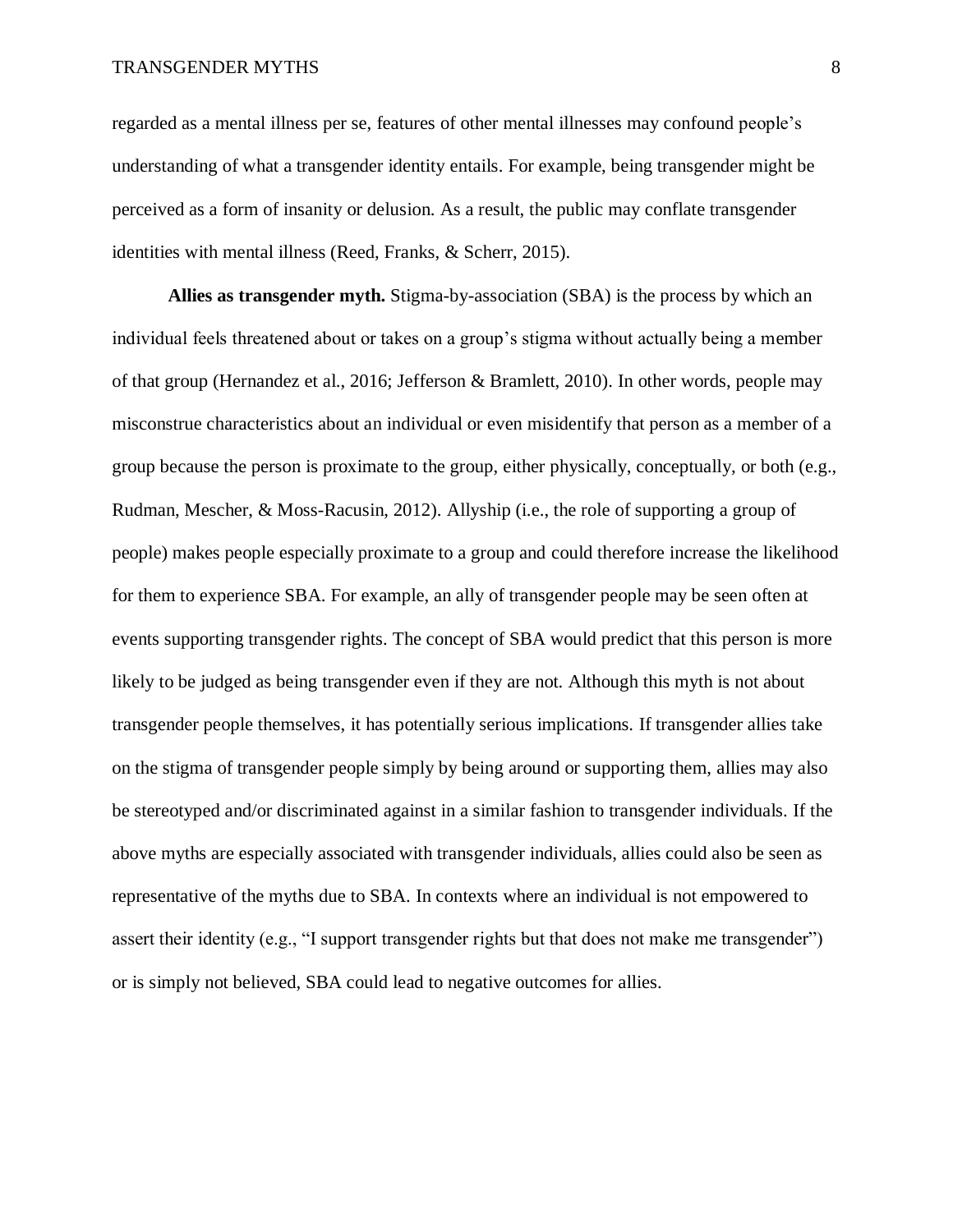regarded as a mental illness per se, features of other mental illnesses may confound people's understanding of what a transgender identity entails. For example, being transgender might be perceived as a form of insanity or delusion. As a result, the public may conflate transgender identities with mental illness (Reed, Franks, & Scherr, 2015).

**Allies as transgender myth.** Stigma-by-association (SBA) is the process by which an individual feels threatened about or takes on a group's stigma without actually being a member of that group (Hernandez et al., 2016; Jefferson & Bramlett, 2010). In other words, people may misconstrue characteristics about an individual or even misidentify that person as a member of a group because the person is proximate to the group, either physically, conceptually, or both (e.g., Rudman, Mescher, & Moss-Racusin, 2012). Allyship (i.e., the role of supporting a group of people) makes people especially proximate to a group and could therefore increase the likelihood for them to experience SBA. For example, an ally of transgender people may be seen often at events supporting transgender rights. The concept of SBA would predict that this person is more likely to be judged as being transgender even if they are not. Although this myth is not about transgender people themselves, it has potentially serious implications. If transgender allies take on the stigma of transgender people simply by being around or supporting them, allies may also be stereotyped and/or discriminated against in a similar fashion to transgender individuals. If the above myths are especially associated with transgender individuals, allies could also be seen as representative of the myths due to SBA. In contexts where an individual is not empowered to assert their identity (e.g., "I support transgender rights but that does not make me transgender") or is simply not believed, SBA could lead to negative outcomes for allies.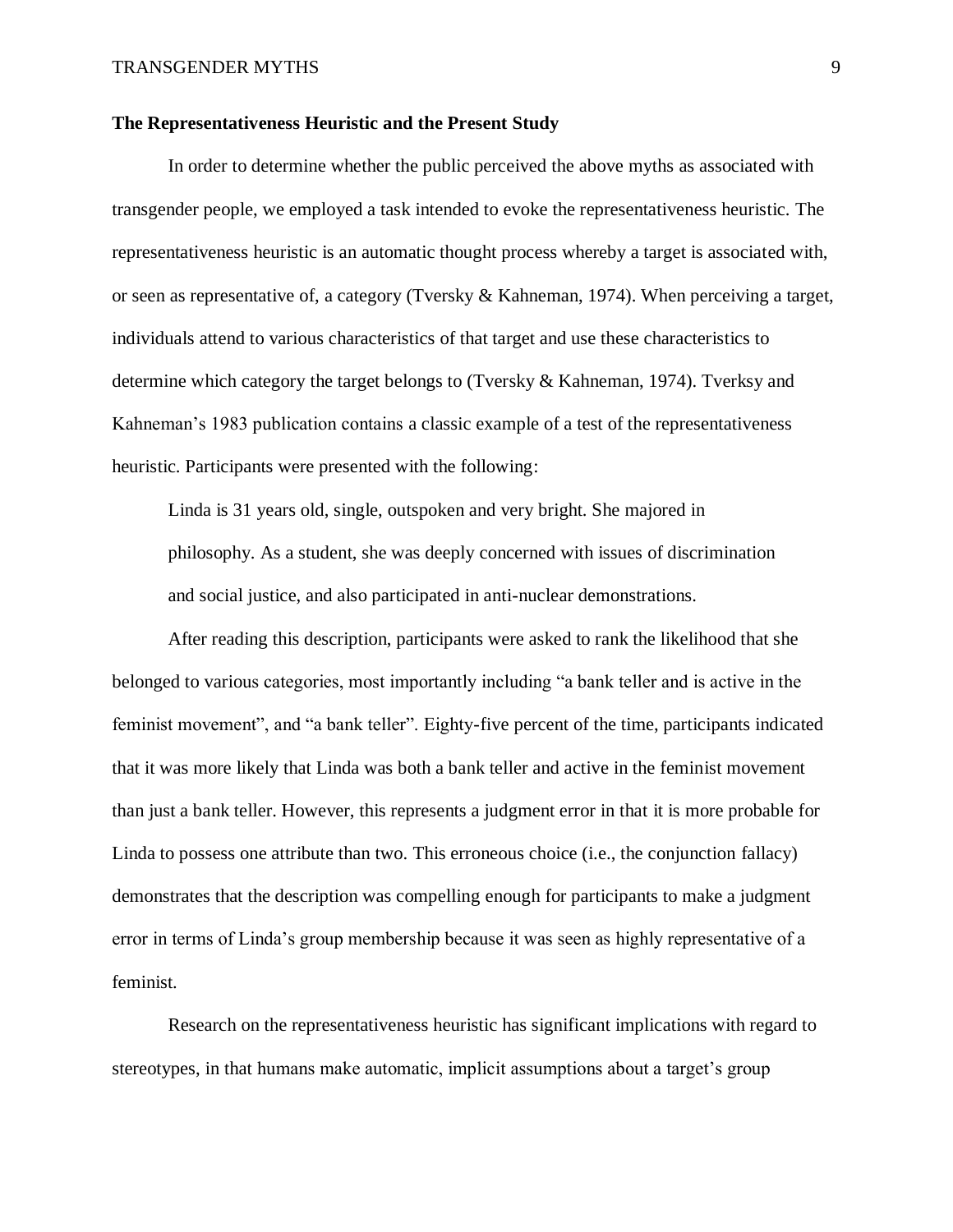#### **The Representativeness Heuristic and the Present Study**

In order to determine whether the public perceived the above myths as associated with transgender people, we employed a task intended to evoke the representativeness heuristic. The representativeness heuristic is an automatic thought process whereby a target is associated with, or seen as representative of, a category (Tversky & Kahneman, 1974). When perceiving a target, individuals attend to various characteristics of that target and use these characteristics to determine which category the target belongs to (Tversky & Kahneman, 1974). Tverksy and Kahneman's 1983 publication contains a classic example of a test of the representativeness heuristic. Participants were presented with the following:

Linda is 31 years old, single, outspoken and very bright. She majored in philosophy. As a student, she was deeply concerned with issues of discrimination and social justice, and also participated in anti-nuclear demonstrations.

After reading this description, participants were asked to rank the likelihood that she belonged to various categories, most importantly including "a bank teller and is active in the feminist movement", and "a bank teller". Eighty-five percent of the time, participants indicated that it was more likely that Linda was both a bank teller and active in the feminist movement than just a bank teller. However, this represents a judgment error in that it is more probable for Linda to possess one attribute than two. This erroneous choice (i.e., the conjunction fallacy) demonstrates that the description was compelling enough for participants to make a judgment error in terms of Linda's group membership because it was seen as highly representative of a feminist.

Research on the representativeness heuristic has significant implications with regard to stereotypes, in that humans make automatic, implicit assumptions about a target's group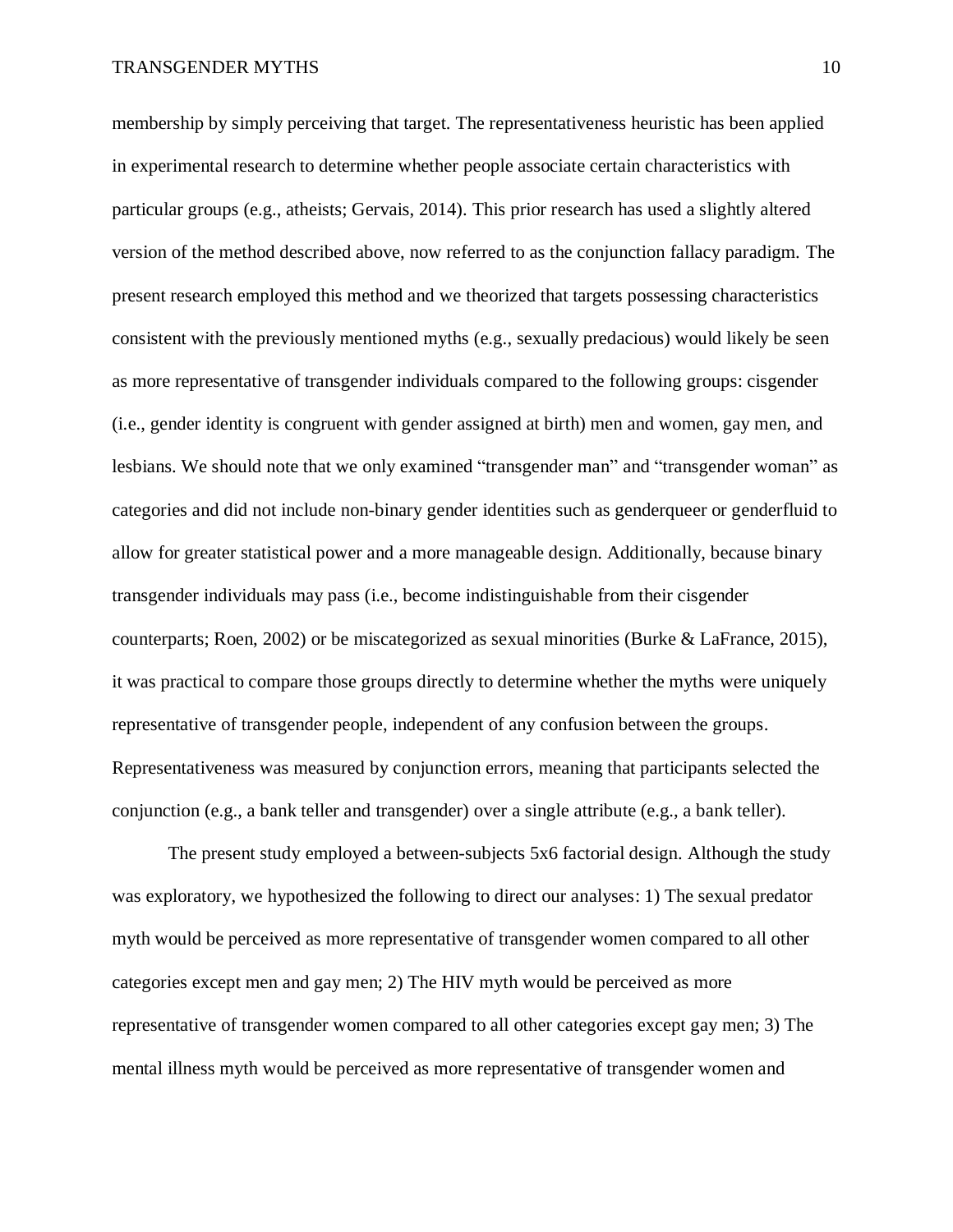membership by simply perceiving that target. The representativeness heuristic has been applied in experimental research to determine whether people associate certain characteristics with particular groups (e.g., atheists; Gervais, 2014). This prior research has used a slightly altered version of the method described above, now referred to as the conjunction fallacy paradigm. The present research employed this method and we theorized that targets possessing characteristics consistent with the previously mentioned myths (e.g., sexually predacious) would likely be seen as more representative of transgender individuals compared to the following groups: cisgender (i.e., gender identity is congruent with gender assigned at birth) men and women, gay men, and lesbians. We should note that we only examined "transgender man" and "transgender woman" as categories and did not include non-binary gender identities such as genderqueer or genderfluid to allow for greater statistical power and a more manageable design. Additionally, because binary transgender individuals may pass (i.e., become indistinguishable from their cisgender counterparts; Roen, 2002) or be miscategorized as sexual minorities (Burke & LaFrance, 2015), it was practical to compare those groups directly to determine whether the myths were uniquely representative of transgender people, independent of any confusion between the groups. Representativeness was measured by conjunction errors, meaning that participants selected the conjunction (e.g., a bank teller and transgender) over a single attribute (e.g., a bank teller).

The present study employed a between-subjects 5x6 factorial design. Although the study was exploratory, we hypothesized the following to direct our analyses: 1) The sexual predator myth would be perceived as more representative of transgender women compared to all other categories except men and gay men; 2) The HIV myth would be perceived as more representative of transgender women compared to all other categories except gay men; 3) The mental illness myth would be perceived as more representative of transgender women and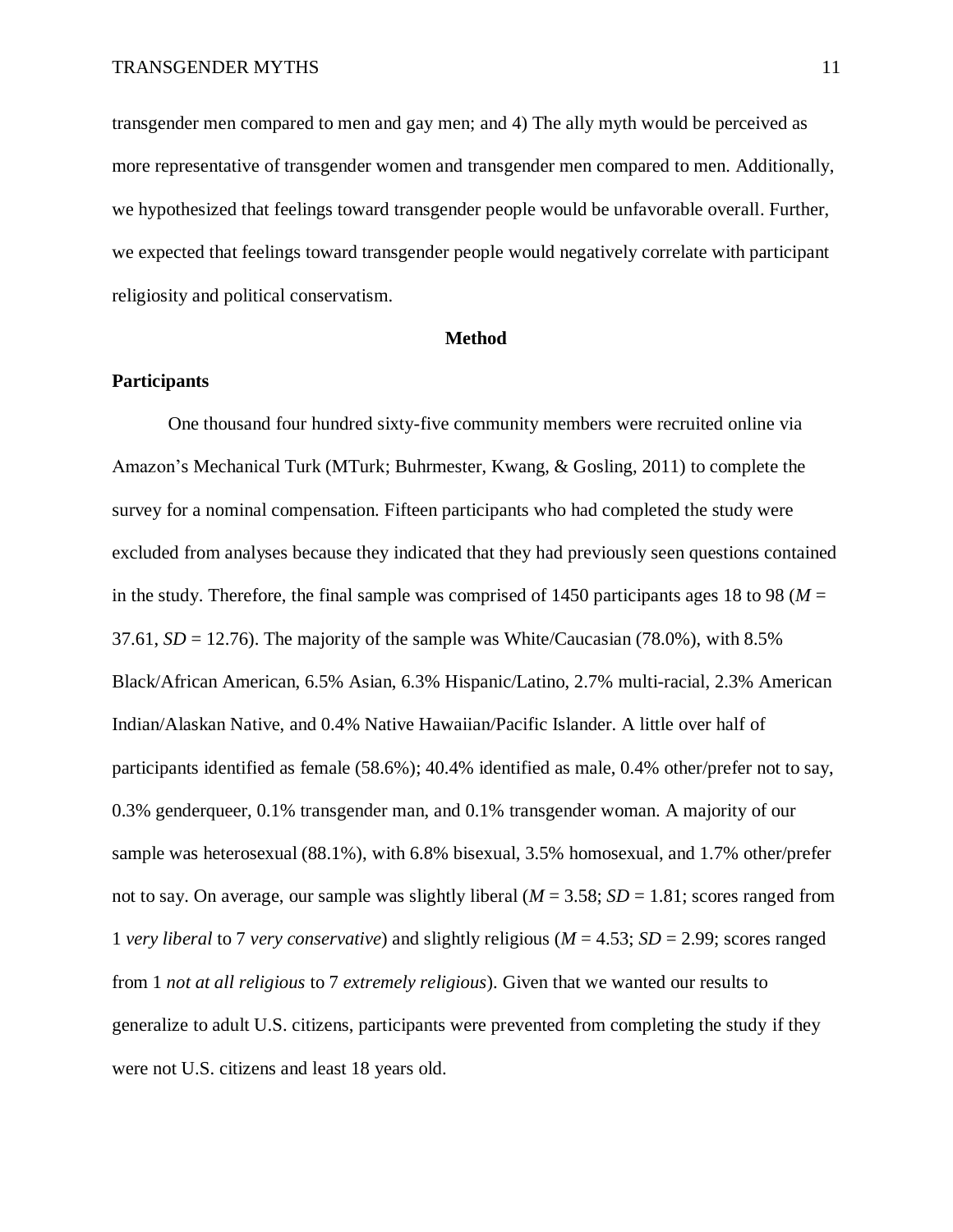transgender men compared to men and gay men; and 4) The ally myth would be perceived as more representative of transgender women and transgender men compared to men. Additionally, we hypothesized that feelings toward transgender people would be unfavorable overall. Further, we expected that feelings toward transgender people would negatively correlate with participant religiosity and political conservatism.

#### **Method**

#### **Participants**

One thousand four hundred sixty-five community members were recruited online via Amazon's Mechanical Turk (MTurk; Buhrmester, Kwang, & Gosling, 2011) to complete the survey for a nominal compensation. Fifteen participants who had completed the study were excluded from analyses because they indicated that they had previously seen questions contained in the study. Therefore, the final sample was comprised of 1450 participants ages 18 to 98 ( $M =$  $37.61$ ,  $SD = 12.76$ ). The majority of the sample was White/Caucasian (78.0%), with 8.5% Black/African American, 6.5% Asian, 6.3% Hispanic/Latino, 2.7% multi-racial, 2.3% American Indian/Alaskan Native, and 0.4% Native Hawaiian/Pacific Islander. A little over half of participants identified as female (58.6%); 40.4% identified as male, 0.4% other/prefer not to say, 0.3% genderqueer, 0.1% transgender man, and 0.1% transgender woman. A majority of our sample was heterosexual (88.1%), with 6.8% bisexual, 3.5% homosexual, and 1.7% other/prefer not to say. On average, our sample was slightly liberal  $(M = 3.58; SD = 1.81;$  scores ranged from 1 *very liberal* to 7 *very conservative*) and slightly religious (*M* = 4.53; *SD* = 2.99; scores ranged from 1 *not at all religious* to 7 *extremely religious*). Given that we wanted our results to generalize to adult U.S. citizens, participants were prevented from completing the study if they were not U.S. citizens and least 18 years old.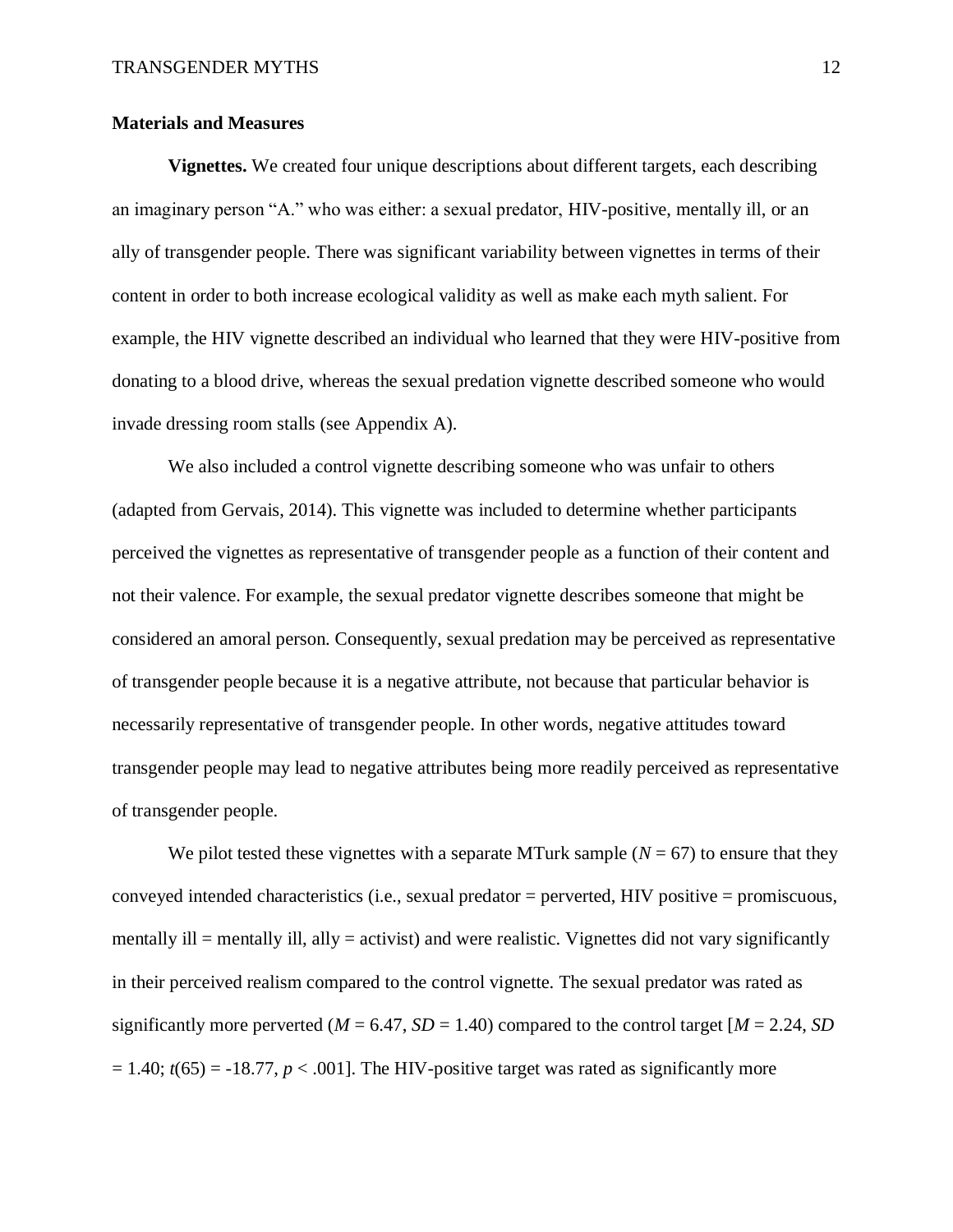#### **Materials and Measures**

**Vignettes.** We created four unique descriptions about different targets, each describing an imaginary person "A." who was either: a sexual predator, HIV-positive, mentally ill, or an ally of transgender people. There was significant variability between vignettes in terms of their content in order to both increase ecological validity as well as make each myth salient. For example, the HIV vignette described an individual who learned that they were HIV-positive from donating to a blood drive, whereas the sexual predation vignette described someone who would invade dressing room stalls (see Appendix A).

We also included a control vignette describing someone who was unfair to others (adapted from Gervais, 2014). This vignette was included to determine whether participants perceived the vignettes as representative of transgender people as a function of their content and not their valence. For example, the sexual predator vignette describes someone that might be considered an amoral person. Consequently, sexual predation may be perceived as representative of transgender people because it is a negative attribute, not because that particular behavior is necessarily representative of transgender people. In other words, negative attitudes toward transgender people may lead to negative attributes being more readily perceived as representative of transgender people.

We pilot tested these vignettes with a separate MTurk sample  $(N = 67)$  to ensure that they conveyed intended characteristics (i.e., sexual predator = perverted, HIV positive = promiscuous, mentally ill  $=$  mentally ill, ally  $=$  activist) and were realistic. Vignettes did not vary significantly in their perceived realism compared to the control vignette. The sexual predator was rated as significantly more perverted ( $M = 6.47$ ,  $SD = 1.40$ ) compared to the control target [ $M = 2.24$ , *SD*  $= 1.40$ ;  $t(65) = -18.77$ ,  $p < .001$ . The HIV-positive target was rated as significantly more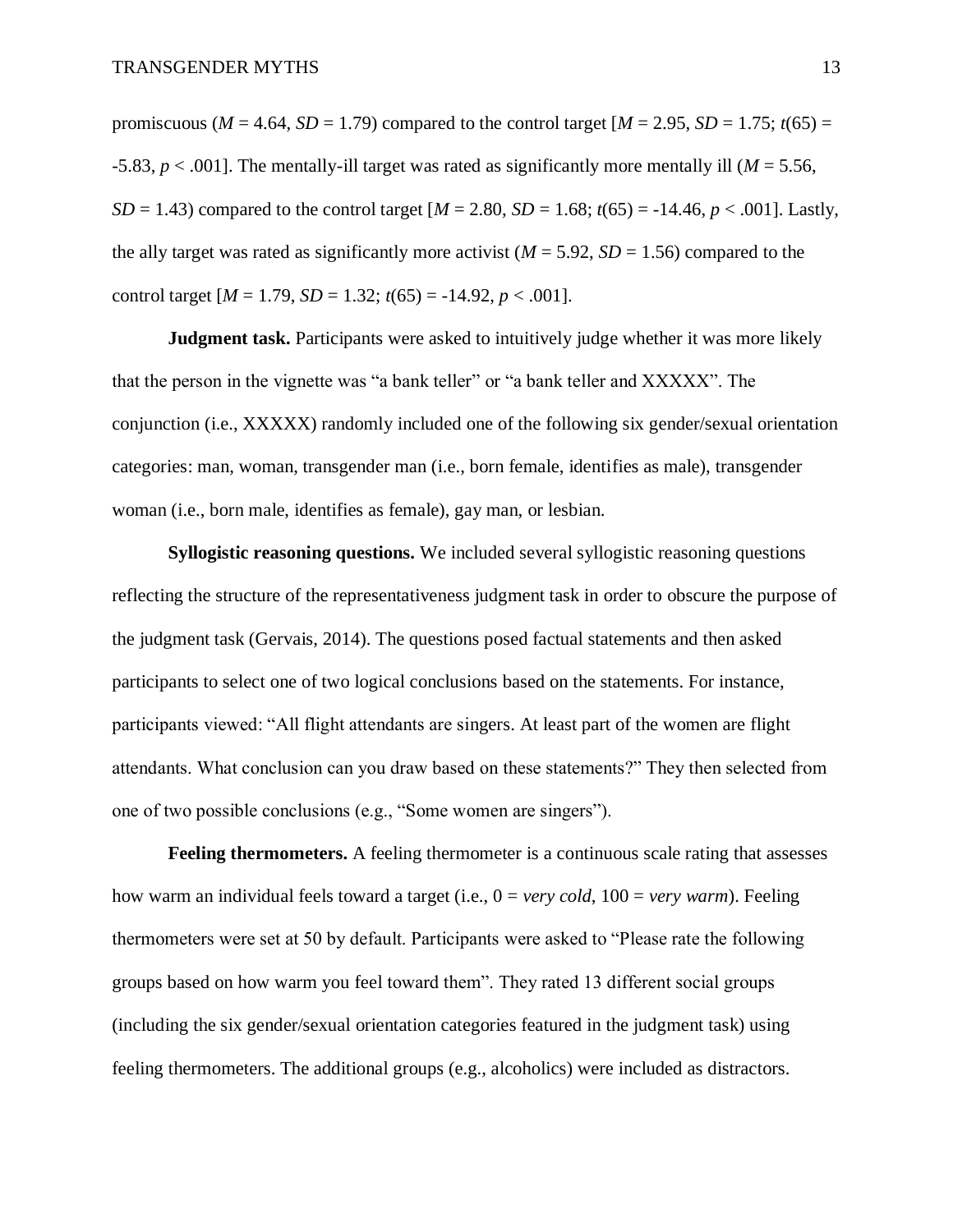promiscuous ( $M = 4.64$ ,  $SD = 1.79$ ) compared to the control target [ $M = 2.95$ ,  $SD = 1.75$ ;  $t(65) =$ -5.83, *p* < .001]. The mentally-ill target was rated as significantly more mentally ill (*M* = 5.56, *SD* = 1.43) compared to the control target  $[M = 2.80, SD = 1.68; t(65) = -14.46, p < .001]$ . Lastly, the ally target was rated as significantly more activist ( $M = 5.92$ ,  $SD = 1.56$ ) compared to the control target  $[M = 1.79, SD = 1.32; t(65) = -14.92, p < .001]$ .

**Judgment task.** Participants were asked to intuitively judge whether it was more likely that the person in the vignette was "a bank teller" or "a bank teller and XXXXX". The conjunction (i.e., XXXXX) randomly included one of the following six gender/sexual orientation categories: man, woman, transgender man (i.e., born female, identifies as male), transgender woman (i.e., born male, identifies as female), gay man, or lesbian.

**Syllogistic reasoning questions.** We included several syllogistic reasoning questions reflecting the structure of the representativeness judgment task in order to obscure the purpose of the judgment task (Gervais, 2014). The questions posed factual statements and then asked participants to select one of two logical conclusions based on the statements. For instance, participants viewed: "All flight attendants are singers. At least part of the women are flight attendants. What conclusion can you draw based on these statements?" They then selected from one of two possible conclusions (e.g., "Some women are singers").

**Feeling thermometers.** A feeling thermometer is a continuous scale rating that assesses how warm an individual feels toward a target (i.e., 0 = *very cold*, 100 = *very warm*). Feeling thermometers were set at 50 by default. Participants were asked to "Please rate the following groups based on how warm you feel toward them". They rated 13 different social groups (including the six gender/sexual orientation categories featured in the judgment task) using feeling thermometers. The additional groups (e.g., alcoholics) were included as distractors.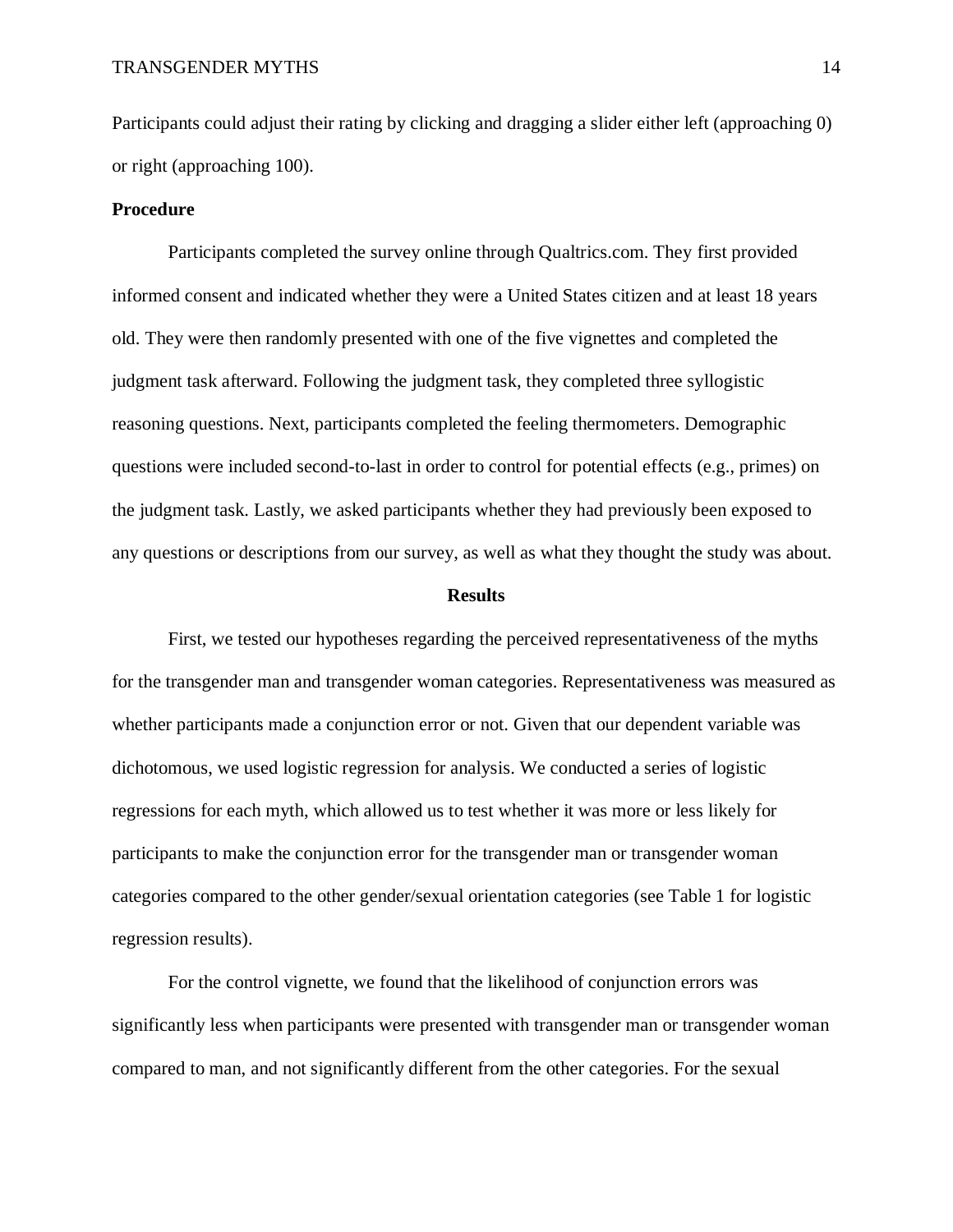Participants could adjust their rating by clicking and dragging a slider either left (approaching 0) or right (approaching 100).

#### **Procedure**

Participants completed the survey online through Qualtrics.com. They first provided informed consent and indicated whether they were a United States citizen and at least 18 years old. They were then randomly presented with one of the five vignettes and completed the judgment task afterward. Following the judgment task, they completed three syllogistic reasoning questions. Next, participants completed the feeling thermometers. Demographic questions were included second-to-last in order to control for potential effects (e.g., primes) on the judgment task. Lastly, we asked participants whether they had previously been exposed to any questions or descriptions from our survey, as well as what they thought the study was about.

#### **Results**

First, we tested our hypotheses regarding the perceived representativeness of the myths for the transgender man and transgender woman categories. Representativeness was measured as whether participants made a conjunction error or not. Given that our dependent variable was dichotomous, we used logistic regression for analysis. We conducted a series of logistic regressions for each myth, which allowed us to test whether it was more or less likely for participants to make the conjunction error for the transgender man or transgender woman categories compared to the other gender/sexual orientation categories (see Table 1 for logistic regression results).

For the control vignette, we found that the likelihood of conjunction errors was significantly less when participants were presented with transgender man or transgender woman compared to man, and not significantly different from the other categories. For the sexual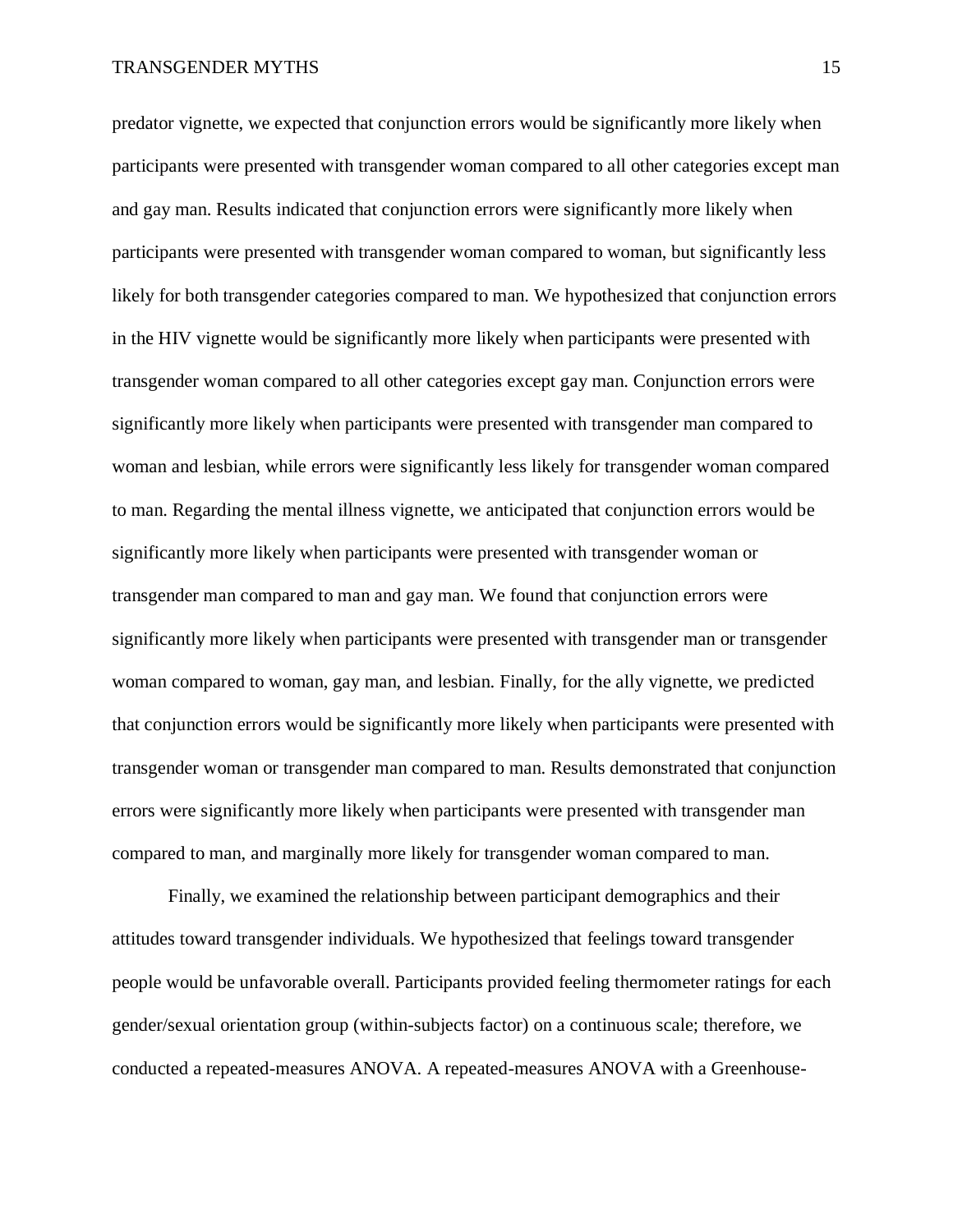predator vignette, we expected that conjunction errors would be significantly more likely when participants were presented with transgender woman compared to all other categories except man and gay man. Results indicated that conjunction errors were significantly more likely when participants were presented with transgender woman compared to woman, but significantly less likely for both transgender categories compared to man. We hypothesized that conjunction errors in the HIV vignette would be significantly more likely when participants were presented with transgender woman compared to all other categories except gay man. Conjunction errors were significantly more likely when participants were presented with transgender man compared to woman and lesbian, while errors were significantly less likely for transgender woman compared to man. Regarding the mental illness vignette, we anticipated that conjunction errors would be significantly more likely when participants were presented with transgender woman or transgender man compared to man and gay man. We found that conjunction errors were significantly more likely when participants were presented with transgender man or transgender woman compared to woman, gay man, and lesbian. Finally, for the ally vignette, we predicted that conjunction errors would be significantly more likely when participants were presented with transgender woman or transgender man compared to man. Results demonstrated that conjunction errors were significantly more likely when participants were presented with transgender man compared to man, and marginally more likely for transgender woman compared to man.

Finally, we examined the relationship between participant demographics and their attitudes toward transgender individuals. We hypothesized that feelings toward transgender people would be unfavorable overall. Participants provided feeling thermometer ratings for each gender/sexual orientation group (within-subjects factor) on a continuous scale; therefore, we conducted a repeated-measures ANOVA. A repeated-measures ANOVA with a Greenhouse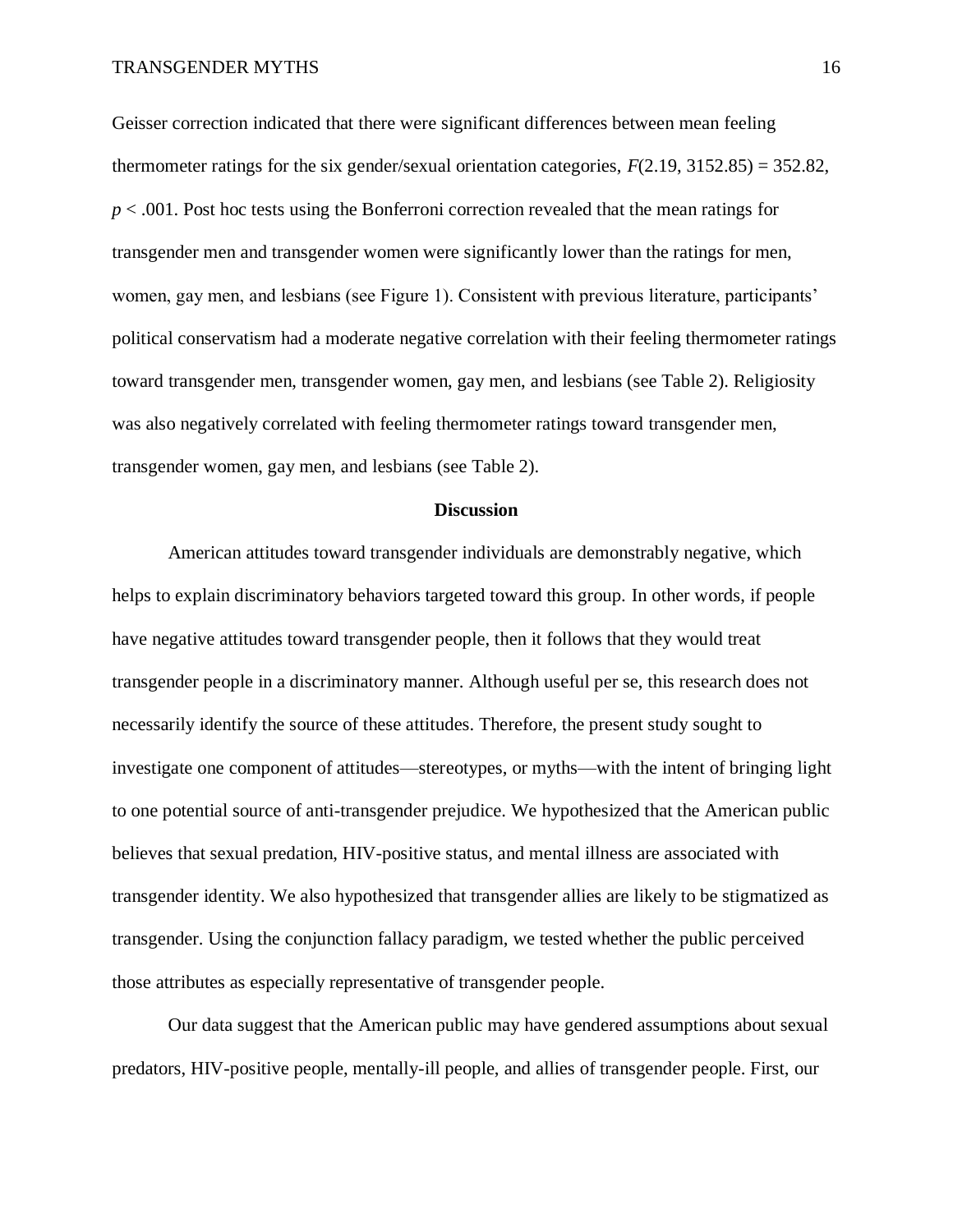Geisser correction indicated that there were significant differences between mean feeling thermometer ratings for the six gender/sexual orientation categories, *F*(2.19, 3152.85) = 352.82, *p* < .001. Post hoc tests using the Bonferroni correction revealed that the mean ratings for transgender men and transgender women were significantly lower than the ratings for men, women, gay men, and lesbians (see Figure 1). Consistent with previous literature, participants' political conservatism had a moderate negative correlation with their feeling thermometer ratings toward transgender men, transgender women, gay men, and lesbians (see Table 2). Religiosity was also negatively correlated with feeling thermometer ratings toward transgender men, transgender women, gay men, and lesbians (see Table 2).

#### **Discussion**

American attitudes toward transgender individuals are demonstrably negative, which helps to explain discriminatory behaviors targeted toward this group. In other words, if people have negative attitudes toward transgender people, then it follows that they would treat transgender people in a discriminatory manner. Although useful per se, this research does not necessarily identify the source of these attitudes. Therefore, the present study sought to investigate one component of attitudes—stereotypes, or myths—with the intent of bringing light to one potential source of anti-transgender prejudice. We hypothesized that the American public believes that sexual predation, HIV-positive status, and mental illness are associated with transgender identity. We also hypothesized that transgender allies are likely to be stigmatized as transgender. Using the conjunction fallacy paradigm, we tested whether the public perceived those attributes as especially representative of transgender people.

Our data suggest that the American public may have gendered assumptions about sexual predators, HIV-positive people, mentally-ill people, and allies of transgender people. First, our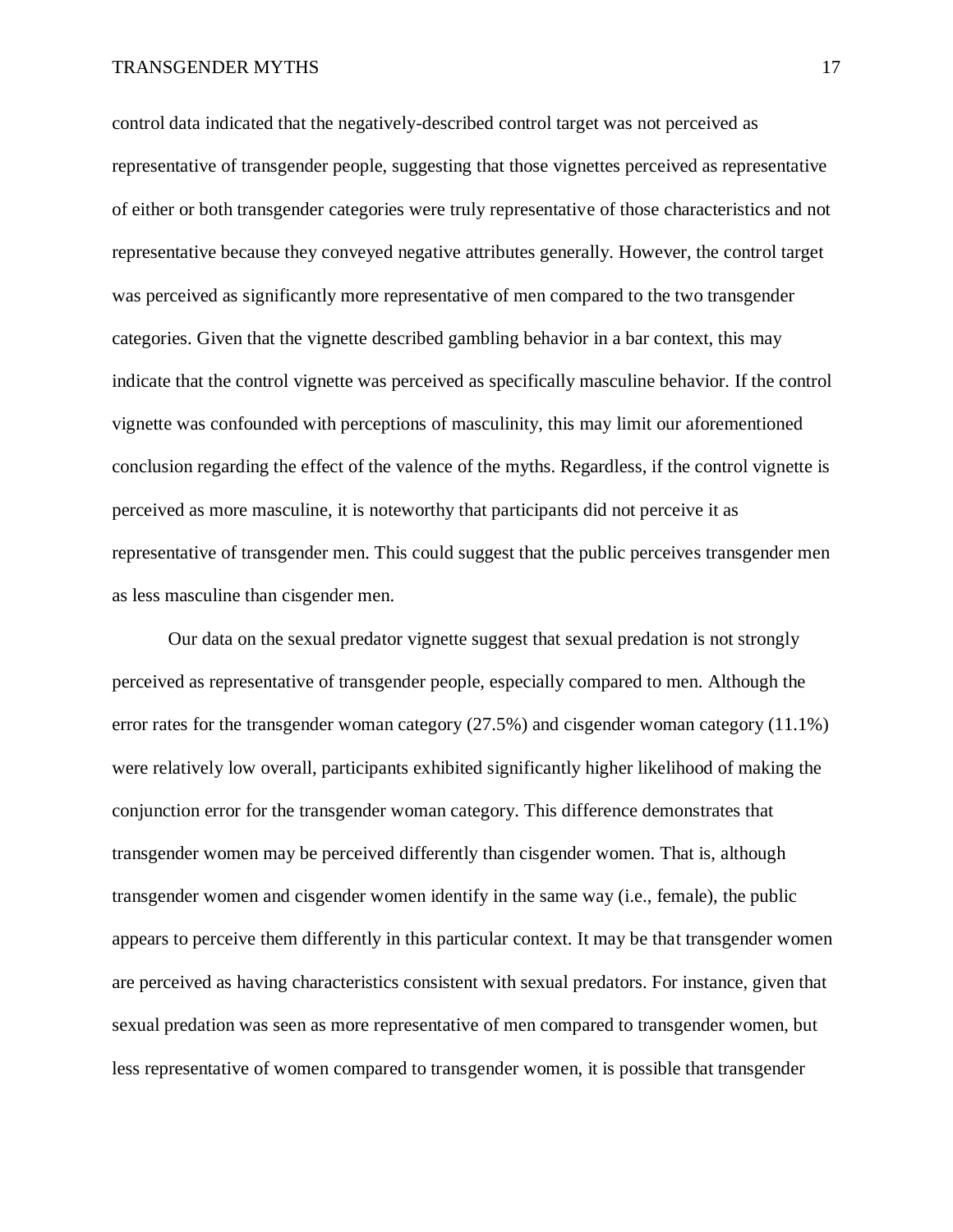control data indicated that the negatively-described control target was not perceived as representative of transgender people, suggesting that those vignettes perceived as representative of either or both transgender categories were truly representative of those characteristics and not representative because they conveyed negative attributes generally. However, the control target was perceived as significantly more representative of men compared to the two transgender categories. Given that the vignette described gambling behavior in a bar context, this may indicate that the control vignette was perceived as specifically masculine behavior. If the control vignette was confounded with perceptions of masculinity, this may limit our aforementioned conclusion regarding the effect of the valence of the myths. Regardless, if the control vignette is perceived as more masculine, it is noteworthy that participants did not perceive it as representative of transgender men. This could suggest that the public perceives transgender men as less masculine than cisgender men.

Our data on the sexual predator vignette suggest that sexual predation is not strongly perceived as representative of transgender people, especially compared to men. Although the error rates for the transgender woman category (27.5%) and cisgender woman category (11.1%) were relatively low overall, participants exhibited significantly higher likelihood of making the conjunction error for the transgender woman category. This difference demonstrates that transgender women may be perceived differently than cisgender women. That is, although transgender women and cisgender women identify in the same way (i.e., female), the public appears to perceive them differently in this particular context. It may be that transgender women are perceived as having characteristics consistent with sexual predators. For instance, given that sexual predation was seen as more representative of men compared to transgender women, but less representative of women compared to transgender women, it is possible that transgender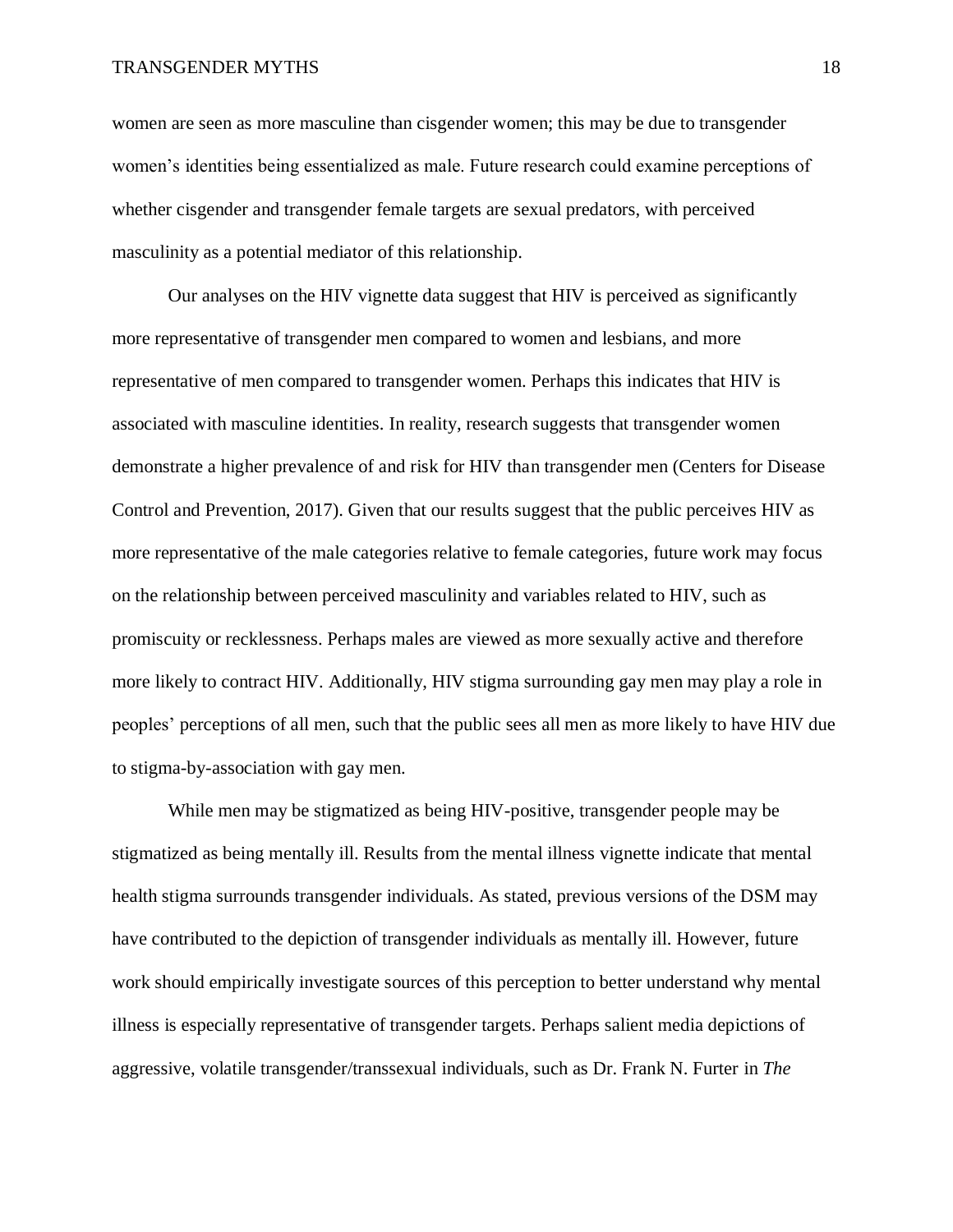women are seen as more masculine than cisgender women; this may be due to transgender women's identities being essentialized as male. Future research could examine perceptions of whether cisgender and transgender female targets are sexual predators, with perceived masculinity as a potential mediator of this relationship.

Our analyses on the HIV vignette data suggest that HIV is perceived as significantly more representative of transgender men compared to women and lesbians, and more representative of men compared to transgender women. Perhaps this indicates that HIV is associated with masculine identities. In reality, research suggests that transgender women demonstrate a higher prevalence of and risk for HIV than transgender men (Centers for Disease Control and Prevention, 2017). Given that our results suggest that the public perceives HIV as more representative of the male categories relative to female categories, future work may focus on the relationship between perceived masculinity and variables related to HIV, such as promiscuity or recklessness. Perhaps males are viewed as more sexually active and therefore more likely to contract HIV. Additionally, HIV stigma surrounding gay men may play a role in peoples' perceptions of all men, such that the public sees all men as more likely to have HIV due to stigma-by-association with gay men.

While men may be stigmatized as being HIV-positive, transgender people may be stigmatized as being mentally ill. Results from the mental illness vignette indicate that mental health stigma surrounds transgender individuals. As stated, previous versions of the DSM may have contributed to the depiction of transgender individuals as mentally ill. However, future work should empirically investigate sources of this perception to better understand why mental illness is especially representative of transgender targets. Perhaps salient media depictions of aggressive, volatile transgender/transsexual individuals, such as Dr. Frank N. Furter in *The*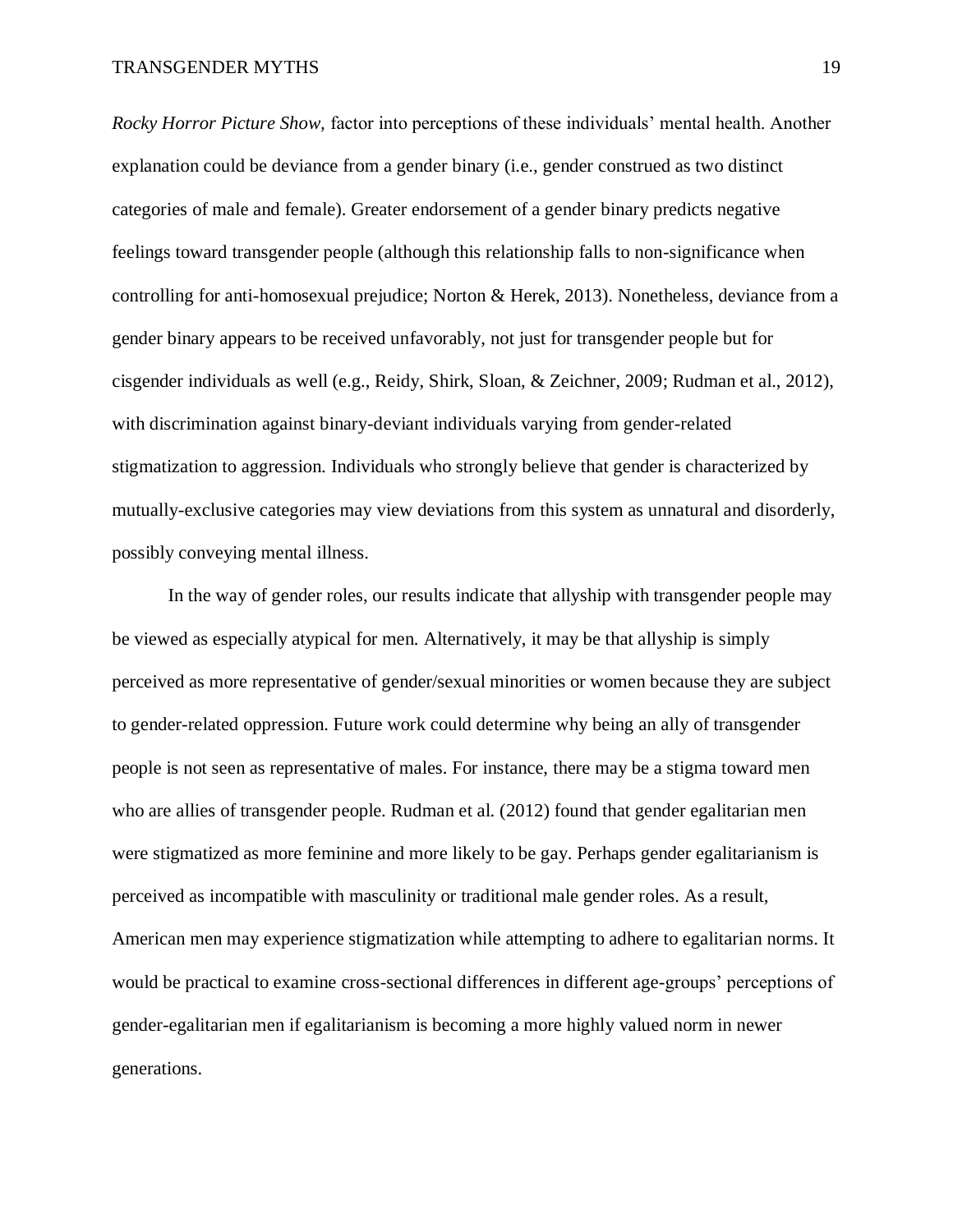*Rocky Horror Picture Show,* factor into perceptions of these individuals' mental health. Another explanation could be deviance from a gender binary (i.e., gender construed as two distinct categories of male and female). Greater endorsement of a gender binary predicts negative feelings toward transgender people (although this relationship falls to non-significance when controlling for anti-homosexual prejudice; Norton & Herek, 2013). Nonetheless, deviance from a gender binary appears to be received unfavorably, not just for transgender people but for cisgender individuals as well (e.g., Reidy, Shirk, Sloan, & Zeichner, 2009; Rudman et al., 2012), with discrimination against binary-deviant individuals varying from gender-related stigmatization to aggression. Individuals who strongly believe that gender is characterized by mutually-exclusive categories may view deviations from this system as unnatural and disorderly, possibly conveying mental illness.

In the way of gender roles, our results indicate that allyship with transgender people may be viewed as especially atypical for men. Alternatively, it may be that allyship is simply perceived as more representative of gender/sexual minorities or women because they are subject to gender-related oppression. Future work could determine why being an ally of transgender people is not seen as representative of males. For instance, there may be a stigma toward men who are allies of transgender people. Rudman et al. (2012) found that gender egalitarian men were stigmatized as more feminine and more likely to be gay. Perhaps gender egalitarianism is perceived as incompatible with masculinity or traditional male gender roles. As a result, American men may experience stigmatization while attempting to adhere to egalitarian norms. It would be practical to examine cross-sectional differences in different age-groups' perceptions of gender-egalitarian men if egalitarianism is becoming a more highly valued norm in newer generations.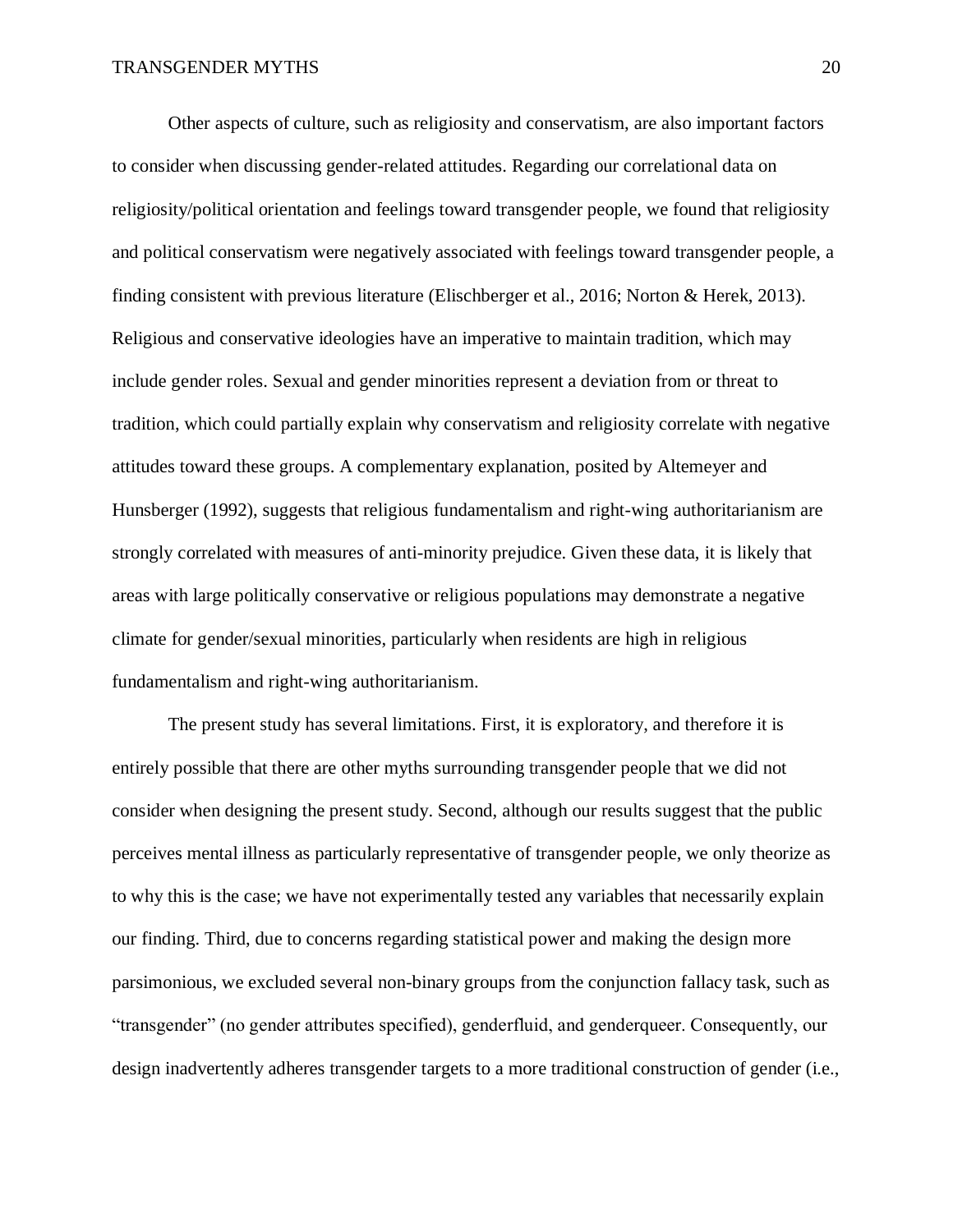Other aspects of culture, such as religiosity and conservatism, are also important factors to consider when discussing gender-related attitudes. Regarding our correlational data on religiosity/political orientation and feelings toward transgender people, we found that religiosity and political conservatism were negatively associated with feelings toward transgender people, a finding consistent with previous literature (Elischberger et al., 2016; Norton & Herek, 2013). Religious and conservative ideologies have an imperative to maintain tradition, which may include gender roles. Sexual and gender minorities represent a deviation from or threat to tradition, which could partially explain why conservatism and religiosity correlate with negative attitudes toward these groups. A complementary explanation, posited by Altemeyer and Hunsberger (1992), suggests that religious fundamentalism and right-wing authoritarianism are strongly correlated with measures of anti-minority prejudice. Given these data, it is likely that areas with large politically conservative or religious populations may demonstrate a negative climate for gender/sexual minorities, particularly when residents are high in religious fundamentalism and right-wing authoritarianism.

The present study has several limitations. First, it is exploratory, and therefore it is entirely possible that there are other myths surrounding transgender people that we did not consider when designing the present study. Second, although our results suggest that the public perceives mental illness as particularly representative of transgender people, we only theorize as to why this is the case; we have not experimentally tested any variables that necessarily explain our finding. Third, due to concerns regarding statistical power and making the design more parsimonious, we excluded several non-binary groups from the conjunction fallacy task, such as "transgender" (no gender attributes specified), genderfluid, and genderqueer. Consequently, our design inadvertently adheres transgender targets to a more traditional construction of gender (i.e.,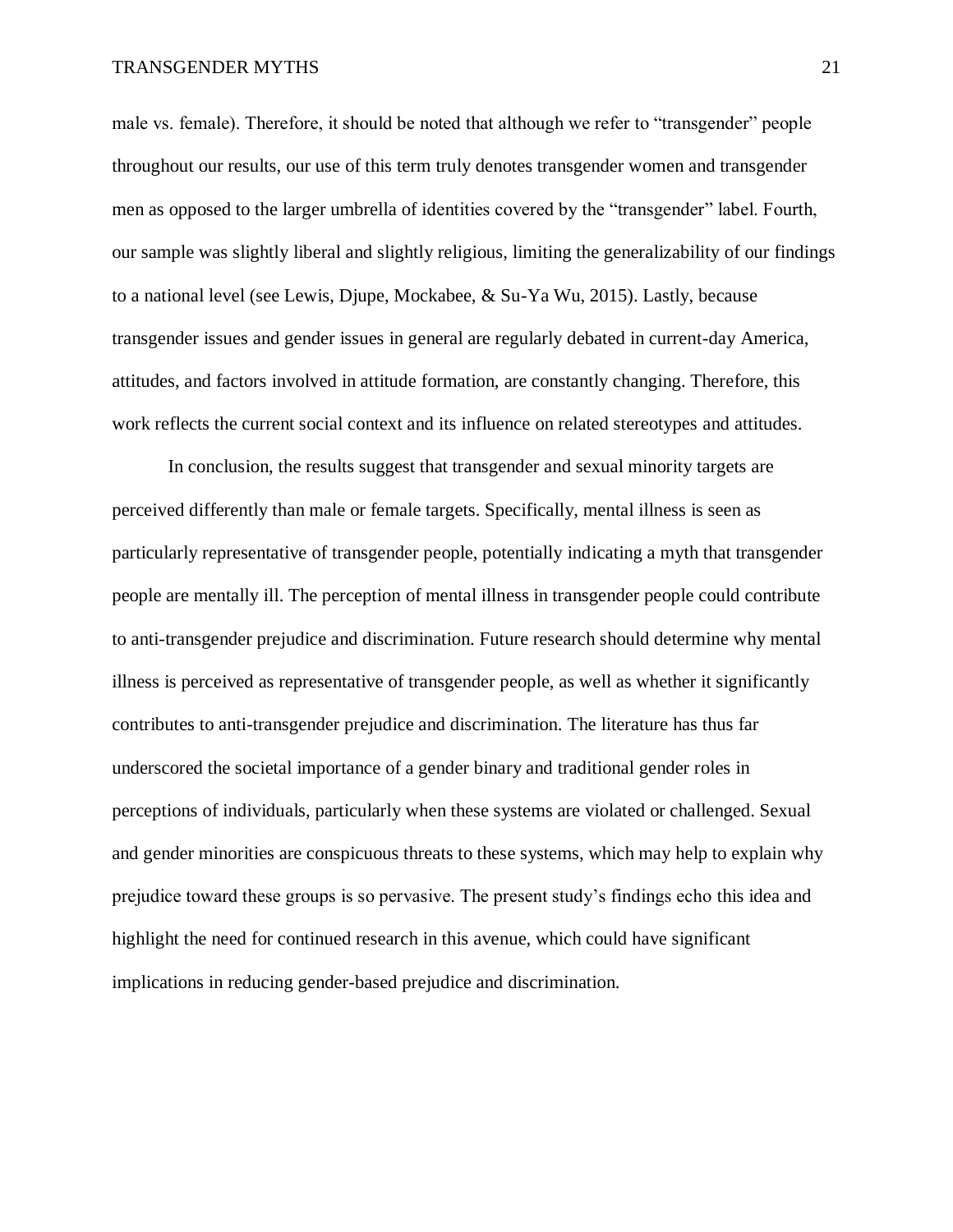male vs. female). Therefore, it should be noted that although we refer to "transgender" people throughout our results, our use of this term truly denotes transgender women and transgender men as opposed to the larger umbrella of identities covered by the "transgender" label. Fourth, our sample was slightly liberal and slightly religious, limiting the generalizability of our findings to a national level (see Lewis, Djupe, Mockabee, & Su-Ya Wu, 2015). Lastly, because transgender issues and gender issues in general are regularly debated in current-day America, attitudes, and factors involved in attitude formation, are constantly changing. Therefore, this work reflects the current social context and its influence on related stereotypes and attitudes.

In conclusion, the results suggest that transgender and sexual minority targets are perceived differently than male or female targets. Specifically, mental illness is seen as particularly representative of transgender people, potentially indicating a myth that transgender people are mentally ill. The perception of mental illness in transgender people could contribute to anti-transgender prejudice and discrimination. Future research should determine why mental illness is perceived as representative of transgender people, as well as whether it significantly contributes to anti-transgender prejudice and discrimination. The literature has thus far underscored the societal importance of a gender binary and traditional gender roles in perceptions of individuals, particularly when these systems are violated or challenged. Sexual and gender minorities are conspicuous threats to these systems, which may help to explain why prejudice toward these groups is so pervasive. The present study's findings echo this idea and highlight the need for continued research in this avenue, which could have significant implications in reducing gender-based prejudice and discrimination.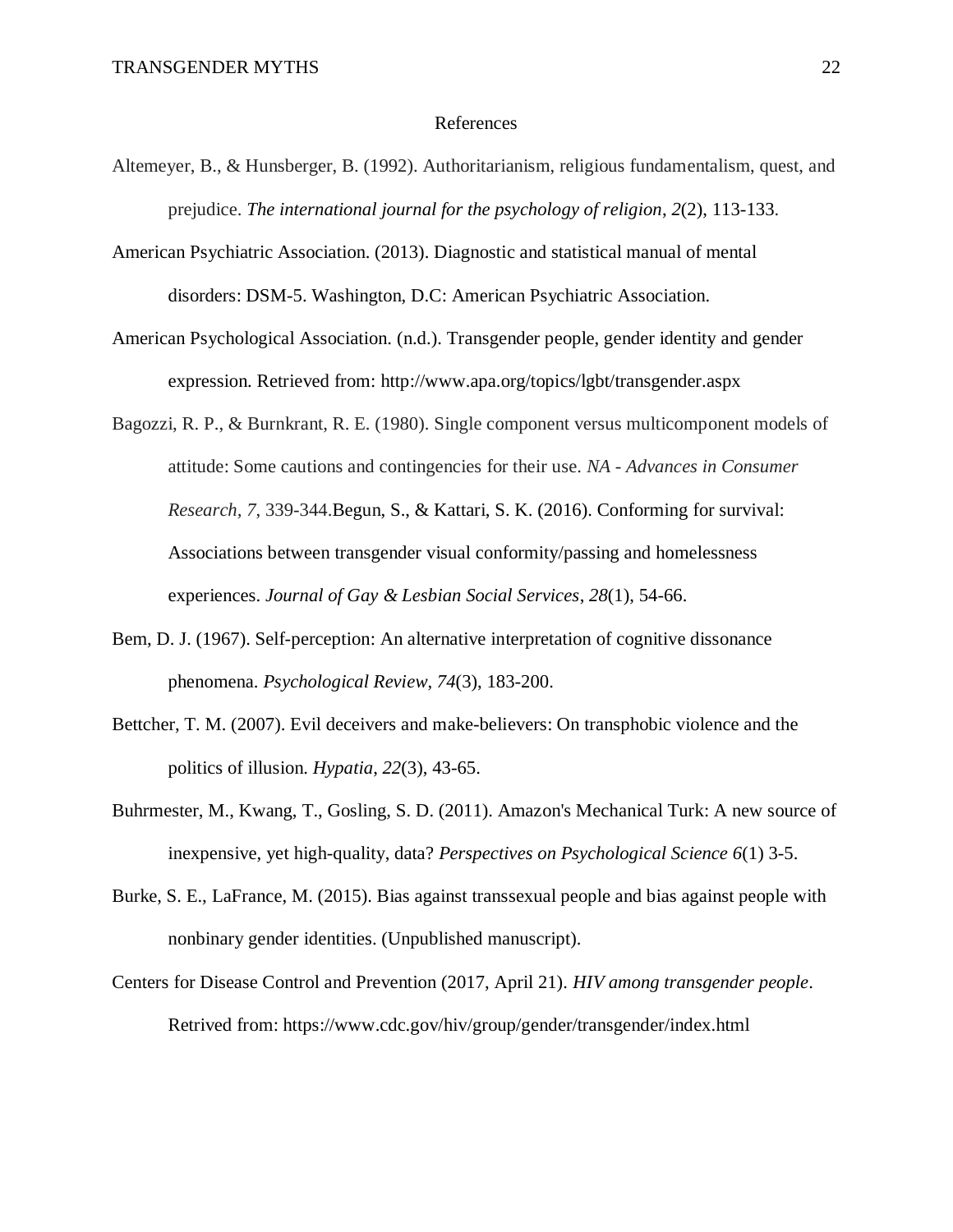#### References

- Altemeyer, B., & Hunsberger, B. (1992). Authoritarianism, religious fundamentalism, quest, and prejudice. *The international journal for the psychology of religion*, *2*(2), 113-133.
- American Psychiatric Association. (2013). Diagnostic and statistical manual of mental disorders: DSM-5. Washington, D.C: American Psychiatric Association.
- American Psychological Association. (n.d.). Transgender people, gender identity and gender expression. Retrieved from: http://www.apa.org/topics/lgbt/transgender.aspx
- Bagozzi, R. P., & Burnkrant, R. E. (1980). Single component versus multicomponent models of attitude: Some cautions and contingencies for their use. *NA - Advances in Consumer Research, 7*, 339-344.Begun, S., & Kattari, S. K. (2016). Conforming for survival: Associations between transgender visual conformity/passing and homelessness experiences. *Journal of Gay & Lesbian Social Services*, *28*(1), 54-66.
- Bem, D. J. (1967). Self-perception: An alternative interpretation of cognitive dissonance phenomena. *Psychological Review*, *74*(3), 183-200.
- Bettcher, T. M. (2007). Evil deceivers and make-believers: On transphobic violence and the politics of illusion. *Hypatia*, *22*(3), 43-65.
- Buhrmester, M., Kwang, T., Gosling, S. D. (2011). Amazon's Mechanical Turk: A new source of inexpensive, yet high-quality, data? *Perspectives on Psychological Science 6*(1) 3-5.
- Burke, S. E., LaFrance, M. (2015). Bias against transsexual people and bias against people with nonbinary gender identities. (Unpublished manuscript).
- Centers for Disease Control and Prevention (2017, April 21). *HIV among transgender people*. Retrived from: https://www.cdc.gov/hiv/group/gender/transgender/index.html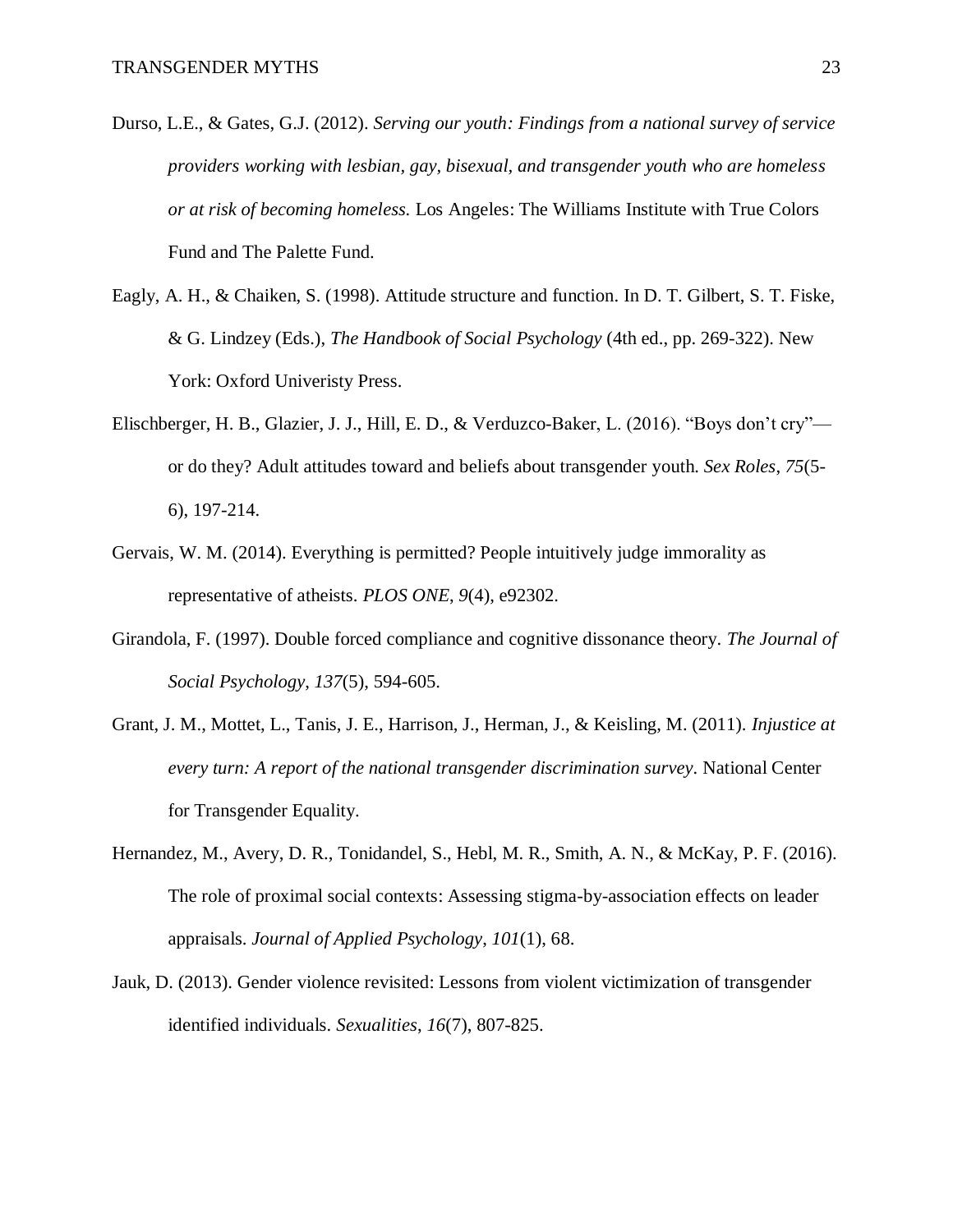- Durso, L.E., & Gates, G.J. (2012). *Serving our youth: Findings from a national survey of service providers working with lesbian, gay, bisexual, and transgender youth who are homeless or at risk of becoming homeless.* Los Angeles: The Williams Institute with True Colors Fund and The Palette Fund.
- Eagly, A. H., & Chaiken, S. (1998). Attitude structure and function. In D. T. Gilbert, S. T. Fiske, & G. Lindzey (Eds.), *The Handbook of Social Psychology* (4th ed., pp. 269-322). New York: Oxford Univeristy Press.
- Elischberger, H. B., Glazier, J. J., Hill, E. D., & Verduzco-Baker, L. (2016). "Boys don't cry" or do they? Adult attitudes toward and beliefs about transgender youth. *Sex Roles*, *75*(5- 6), 197-214.
- Gervais, W. M. (2014). Everything is permitted? People intuitively judge immorality as representative of atheists. *PLOS ONE*, *9*(4), e92302.
- Girandola, F. (1997). Double forced compliance and cognitive dissonance theory. *The Journal of Social Psychology*, *137*(5), 594-605.
- Grant, J. M., Mottet, L., Tanis, J. E., Harrison, J., Herman, J., & Keisling, M. (2011). *Injustice at every turn: A report of the national transgender discrimination survey.* National Center for Transgender Equality.
- Hernandez, M., Avery, D. R., Tonidandel, S., Hebl, M. R., Smith, A. N., & McKay, P. F. (2016). The role of proximal social contexts: Assessing stigma-by-association effects on leader appraisals. *Journal of Applied Psychology*, *101*(1), 68.
- Jauk, D. (2013). Gender violence revisited: Lessons from violent victimization of transgender identified individuals. *Sexualities*, *16*(7), 807-825.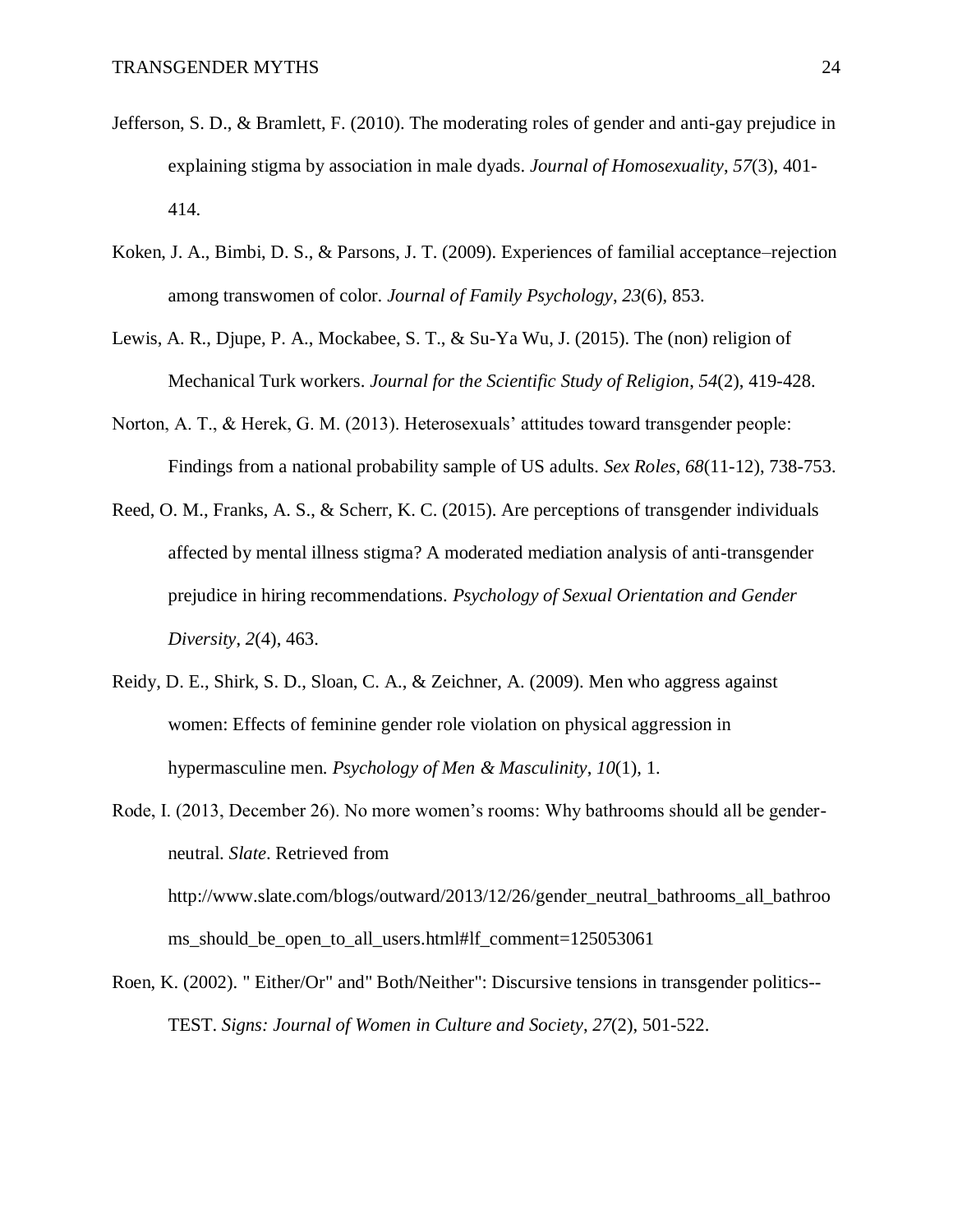- Jefferson, S. D., & Bramlett, F. (2010). The moderating roles of gender and anti-gay prejudice in explaining stigma by association in male dyads. *Journal of Homosexuality*, *57*(3), 401- 414.
- Koken, J. A., Bimbi, D. S., & Parsons, J. T. (2009). Experiences of familial acceptance–rejection among transwomen of color. *Journal of Family Psychology*, *23*(6), 853.
- Lewis, A. R., Djupe, P. A., Mockabee, S. T., & Su-Ya Wu, J. (2015). The (non) religion of Mechanical Turk workers. *Journal for the Scientific Study of Religion*, *54*(2), 419-428.
- Norton, A. T., & Herek, G. M. (2013). Heterosexuals' attitudes toward transgender people: Findings from a national probability sample of US adults. *Sex Roles*, *68*(11-12), 738-753.
- Reed, O. M., Franks, A. S., & Scherr, K. C. (2015). Are perceptions of transgender individuals affected by mental illness stigma? A moderated mediation analysis of anti-transgender prejudice in hiring recommendations. *Psychology of Sexual Orientation and Gender Diversity*, *2*(4), 463.
- Reidy, D. E., Shirk, S. D., Sloan, C. A., & Zeichner, A. (2009). Men who aggress against women: Effects of feminine gender role violation on physical aggression in hypermasculine men. *Psychology of Men & Masculinity*, *10*(1), 1.
- Rode, I. (2013, December 26). No more women's rooms: Why bathrooms should all be genderneutral. *Slate*. Retrieved from http://www.slate.com/blogs/outward/2013/12/26/gender\_neutral\_bathrooms\_all\_bathroo ms\_should\_be\_open\_to\_all\_users.html#lf\_comment=125053061
- Roen, K. (2002). " Either/Or" and" Both/Neither": Discursive tensions in transgender politics-- TEST. *Signs: Journal of Women in Culture and Society*, *27*(2), 501-522.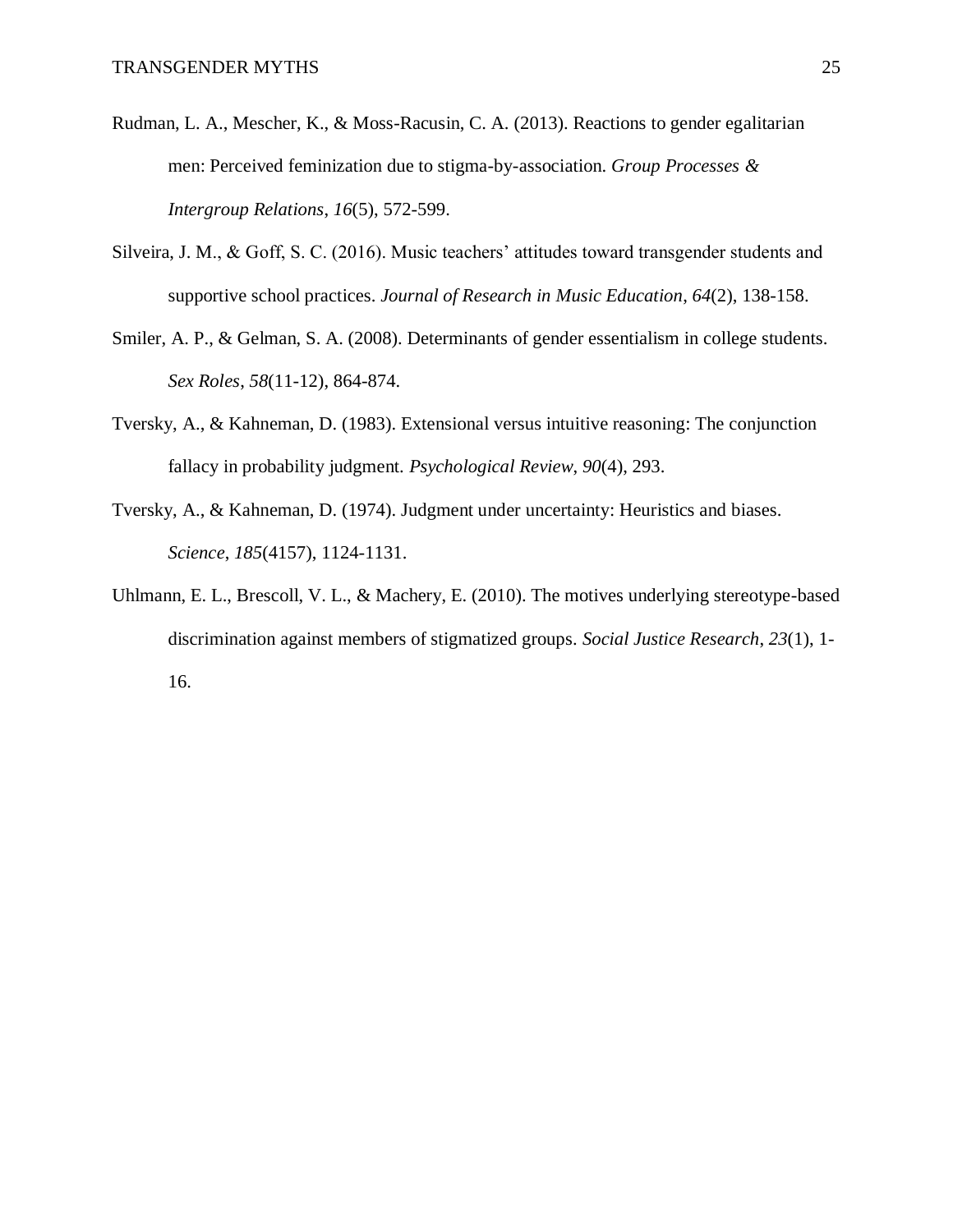- Rudman, L. A., Mescher, K., & Moss-Racusin, C. A. (2013). Reactions to gender egalitarian men: Perceived feminization due to stigma-by-association. *Group Processes & Intergroup Relations*, *16*(5), 572-599.
- Silveira, J. M., & Goff, S. C. (2016). Music teachers' attitudes toward transgender students and supportive school practices. *Journal of Research in Music Education*, *64*(2), 138-158.
- Smiler, A. P., & Gelman, S. A. (2008). Determinants of gender essentialism in college students. *Sex Roles*, *58*(11-12), 864-874.
- Tversky, A., & Kahneman, D. (1983). Extensional versus intuitive reasoning: The conjunction fallacy in probability judgment. *Psychological Review*, *90*(4), 293.
- Tversky, A., & Kahneman, D. (1974). Judgment under uncertainty: Heuristics and biases. *Science*, *185*(4157), 1124-1131.
- Uhlmann, E. L., Brescoll, V. L., & Machery, E. (2010). The motives underlying stereotype-based discrimination against members of stigmatized groups. *Social Justice Research*, *23*(1), 1- 16.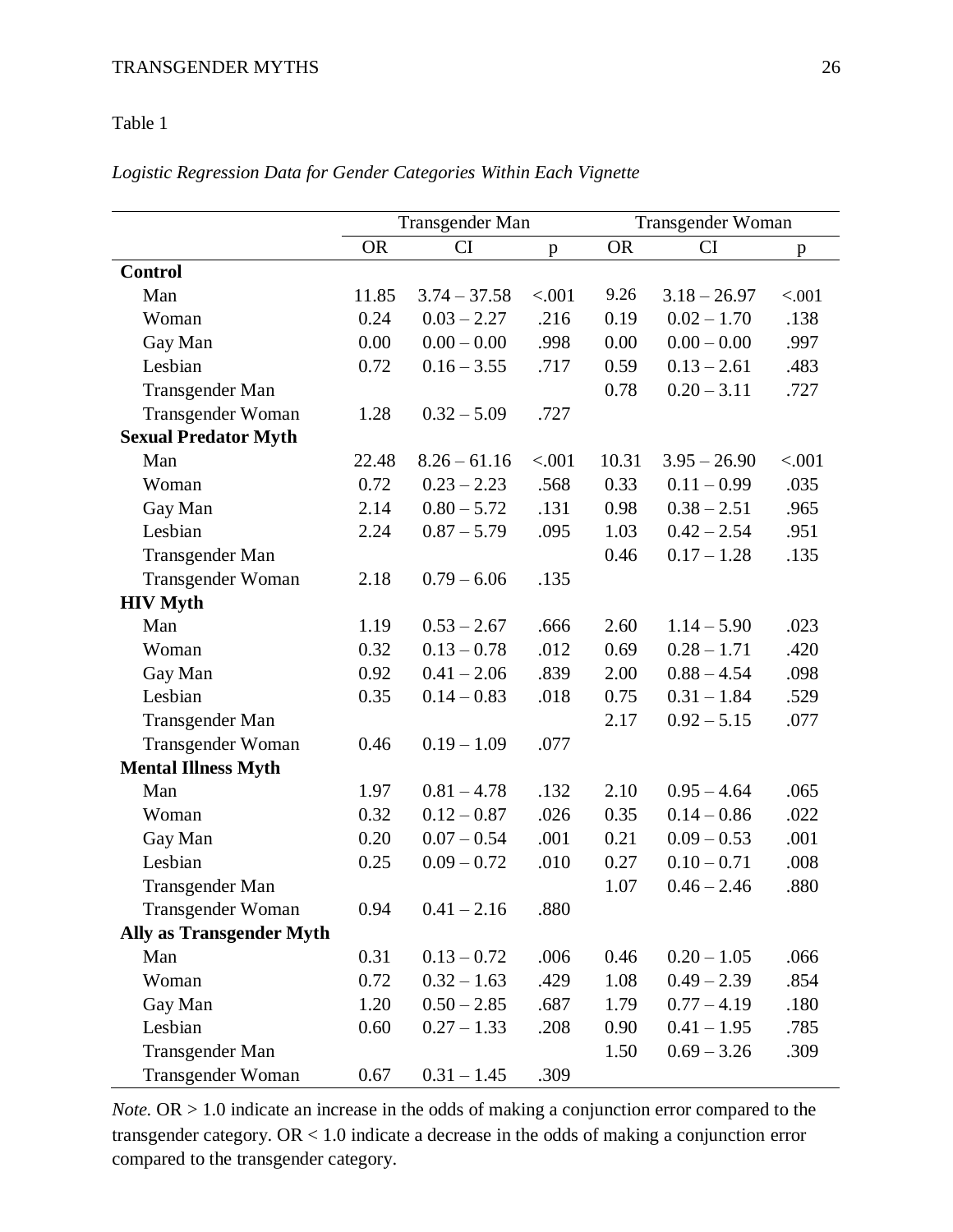## Table 1

# *Logistic Regression Data for Gender Categories Within Each Vignette*

|                                 | Transgender Man |                |        | Transgender Woman |                |        |
|---------------------------------|-----------------|----------------|--------|-------------------|----------------|--------|
|                                 | <b>OR</b>       | CI             | p      | <b>OR</b>         | <b>CI</b>      | p      |
| <b>Control</b>                  |                 |                |        |                   |                |        |
| Man                             | 11.85           | $3.74 - 37.58$ | < .001 | 9.26              | $3.18 - 26.97$ | < .001 |
| Woman                           | 0.24            | $0.03 - 2.27$  | .216   | 0.19              | $0.02 - 1.70$  | .138   |
| Gay Man                         | 0.00            | $0.00 - 0.00$  | .998   | 0.00              | $0.00 - 0.00$  | .997   |
| Lesbian                         | 0.72            | $0.16 - 3.55$  | .717   | 0.59              | $0.13 - 2.61$  | .483   |
| Transgender Man                 |                 |                |        | 0.78              | $0.20 - 3.11$  | .727   |
| Transgender Woman               | 1.28            | $0.32 - 5.09$  | .727   |                   |                |        |
| <b>Sexual Predator Myth</b>     |                 |                |        |                   |                |        |
| Man                             | 22.48           | $8.26 - 61.16$ | < .001 | 10.31             | $3.95 - 26.90$ | < .001 |
| Woman                           | 0.72            | $0.23 - 2.23$  | .568   | 0.33              | $0.11 - 0.99$  | .035   |
| Gay Man                         | 2.14            | $0.80 - 5.72$  | .131   | 0.98              | $0.38 - 2.51$  | .965   |
| Lesbian                         | 2.24            | $0.87 - 5.79$  | .095   | 1.03              | $0.42 - 2.54$  | .951   |
| Transgender Man                 |                 |                |        | 0.46              | $0.17 - 1.28$  | .135   |
| Transgender Woman               | 2.18            | $0.79 - 6.06$  | .135   |                   |                |        |
| <b>HIV Myth</b>                 |                 |                |        |                   |                |        |
| Man                             | 1.19            | $0.53 - 2.67$  | .666   | 2.60              | $1.14 - 5.90$  | .023   |
| Woman                           | 0.32            | $0.13 - 0.78$  | .012   | 0.69              | $0.28 - 1.71$  | .420   |
| Gay Man                         | 0.92            | $0.41 - 2.06$  | .839   | 2.00              | $0.88 - 4.54$  | .098   |
| Lesbian                         | 0.35            | $0.14 - 0.83$  | .018   | 0.75              | $0.31 - 1.84$  | .529   |
| Transgender Man                 |                 |                |        | 2.17              | $0.92 - 5.15$  | .077   |
| Transgender Woman               | 0.46            | $0.19 - 1.09$  | .077   |                   |                |        |
| <b>Mental Illness Myth</b>      |                 |                |        |                   |                |        |
| Man                             | 1.97            | $0.81 - 4.78$  | .132   | 2.10              | $0.95 - 4.64$  | .065   |
| Woman                           | 0.32            | $0.12 - 0.87$  | .026   | 0.35              | $0.14 - 0.86$  | .022   |
| Gay Man                         | 0.20            | $0.07 - 0.54$  | .001   | 0.21              | $0.09 - 0.53$  | .001   |
| Lesbian                         | 0.25            | $0.09 - 0.72$  | .010   | 0.27              | $0.10 - 0.71$  | .008   |
| Transgender Man                 |                 |                |        | 1.07              | $0.46 - 2.46$  | .880   |
| Transgender Woman               | 0.94            | $0.41 - 2.16$  | .880   |                   |                |        |
| <b>Ally as Transgender Myth</b> |                 |                |        |                   |                |        |
| Man                             | 0.31            | $0.13 - 0.72$  | .006   | 0.46              | $0.20 - 1.05$  | .066   |
| Woman                           | 0.72            | $0.32 - 1.63$  | .429   | 1.08              | $0.49 - 2.39$  | .854   |
| Gay Man                         | 1.20            | $0.50 - 2.85$  | .687   | 1.79              | $0.77 - 4.19$  | .180   |
| Lesbian                         | 0.60            | $0.27 - 1.33$  | .208   | 0.90              | $0.41 - 1.95$  | .785   |
| Transgender Man                 |                 |                |        | 1.50              | $0.69 - 3.26$  | .309   |
| Transgender Woman               | 0.67            | $0.31 - 1.45$  | .309   |                   |                |        |

*Note.* OR > 1.0 indicate an increase in the odds of making a conjunction error compared to the transgender category. OR < 1.0 indicate a decrease in the odds of making a conjunction error compared to the transgender category.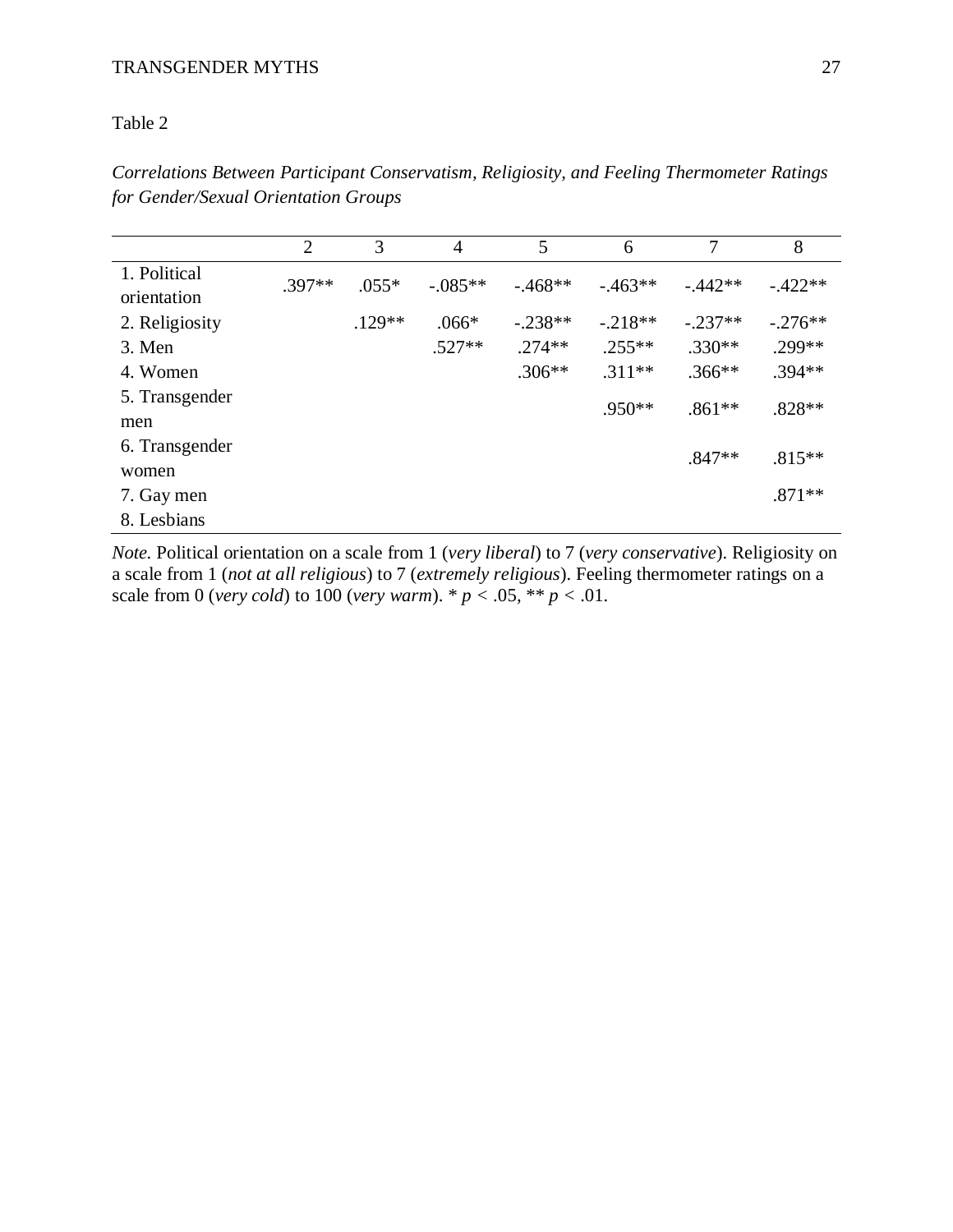## Table 2

|                | $\overline{2}$ | 3        | $\overline{4}$ | 5          | 6          | 7         | 8         |
|----------------|----------------|----------|----------------|------------|------------|-----------|-----------|
| 1. Political   | $.397**$       | $.055*$  | $-.085**$      | $-0.468**$ | $-0.463**$ | $-442**$  | $-.422**$ |
| orientation    |                |          |                |            |            |           |           |
| 2. Religiosity |                | $.129**$ | $.066*$        | $-.238**$  | $-.218**$  | $-.237**$ | $-.276**$ |
| 3. Men         |                |          | $.527**$       | $.274**$   | $.255**$   | $.330**$  | .299**    |
| 4. Women       |                |          |                | $.306**$   | $.311**$   | $.366**$  | $.394**$  |
| 5. Transgender |                |          |                |            | $.950**$   |           | $.828**$  |
| men            |                |          |                |            |            | $.861**$  |           |
| 6. Transgender |                |          |                |            |            | $.847**$  | $.815**$  |
| women          |                |          |                |            |            |           |           |
| 7. Gay men     |                |          |                |            |            |           | $.871**$  |
| 8. Lesbians    |                |          |                |            |            |           |           |

*Correlations Between Participant Conservatism, Religiosity, and Feeling Thermometer Ratings for Gender/Sexual Orientation Groups*

*Note.* Political orientation on a scale from 1 (*very liberal*) to 7 (*very conservative*). Religiosity on a scale from 1 (*not at all religious*) to 7 (*extremely religious*). Feeling thermometer ratings on a scale from 0 (*very cold*) to 100 (*very warm*). \*  $p < .05$ , \*\*  $p < .01$ .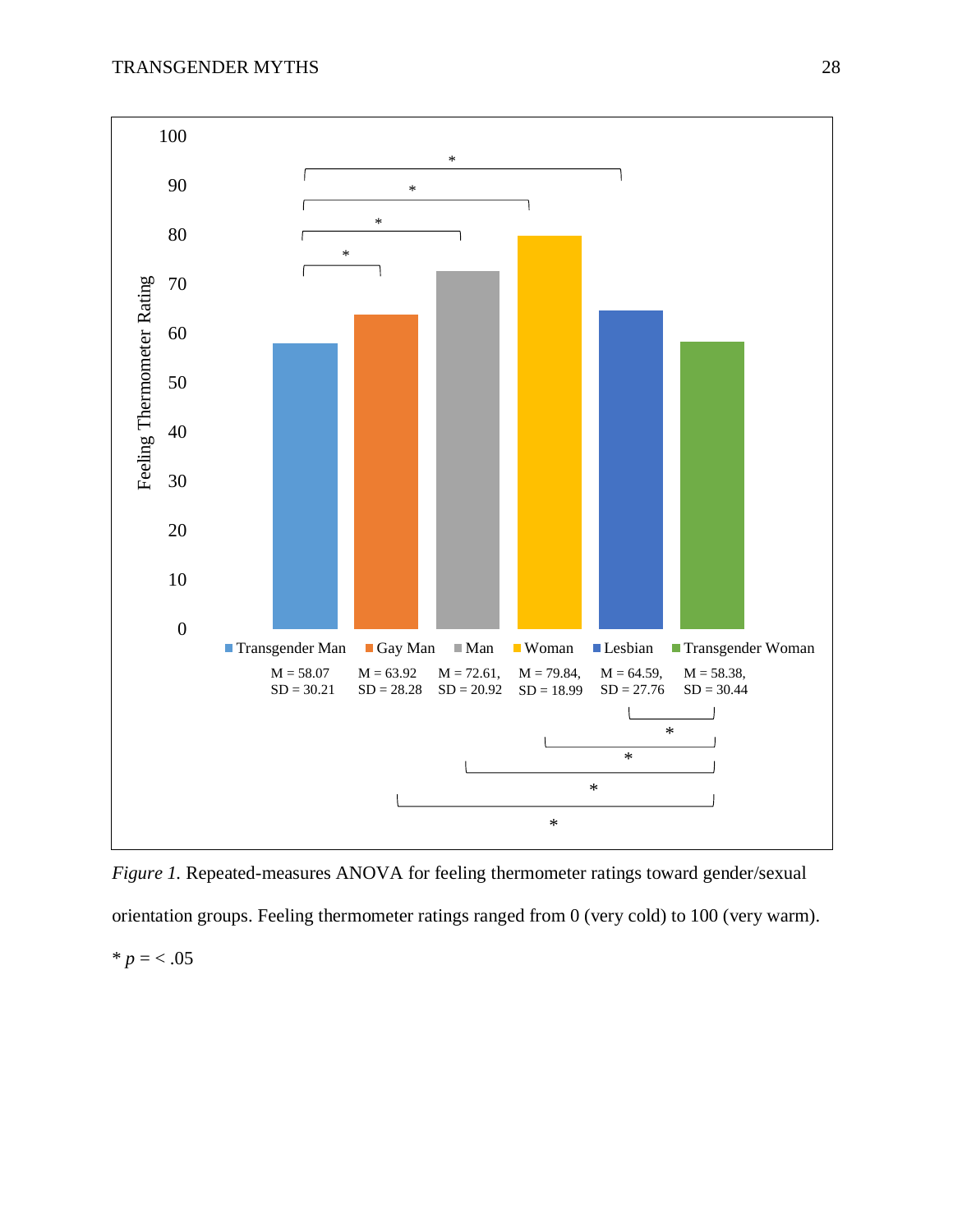

*Figure 1.* Repeated-measures ANOVA for feeling thermometer ratings toward gender/sexual orientation groups. Feeling thermometer ratings ranged from 0 (very cold) to 100 (very warm).  $* p = < .05$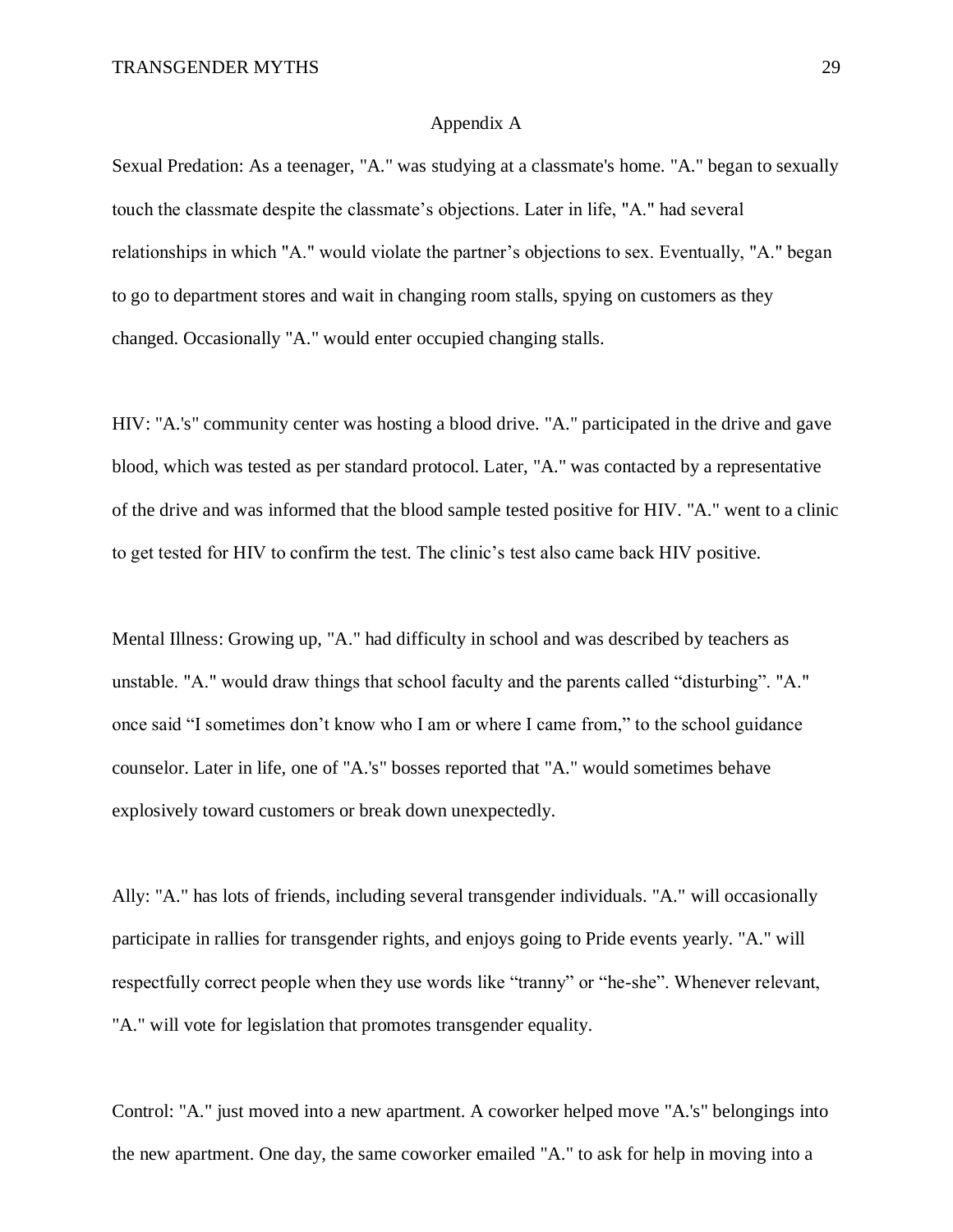#### Appendix A

Sexual Predation: As a teenager, "A." was studying at a classmate's home. "A." began to sexually touch the classmate despite the classmate's objections. Later in life, "A." had several relationships in which "A." would violate the partner's objections to sex. Eventually, "A." began to go to department stores and wait in changing room stalls, spying on customers as they changed. Occasionally "A." would enter occupied changing stalls.

HIV: "A.'s" community center was hosting a blood drive. "A." participated in the drive and gave blood, which was tested as per standard protocol. Later, "A." was contacted by a representative of the drive and was informed that the blood sample tested positive for HIV. "A." went to a clinic to get tested for HIV to confirm the test. The clinic's test also came back HIV positive.

Mental Illness: Growing up, "A." had difficulty in school and was described by teachers as unstable. "A." would draw things that school faculty and the parents called "disturbing". "A." once said "I sometimes don't know who I am or where I came from," to the school guidance counselor. Later in life, one of "A.'s" bosses reported that "A." would sometimes behave explosively toward customers or break down unexpectedly.

Ally: "A." has lots of friends, including several transgender individuals. "A." will occasionally participate in rallies for transgender rights, and enjoys going to Pride events yearly. "A." will respectfully correct people when they use words like "tranny" or "he-she". Whenever relevant, "A." will vote for legislation that promotes transgender equality.

Control: "A." just moved into a new apartment. A coworker helped move "A.'s" belongings into the new apartment. One day, the same coworker emailed "A." to ask for help in moving into a